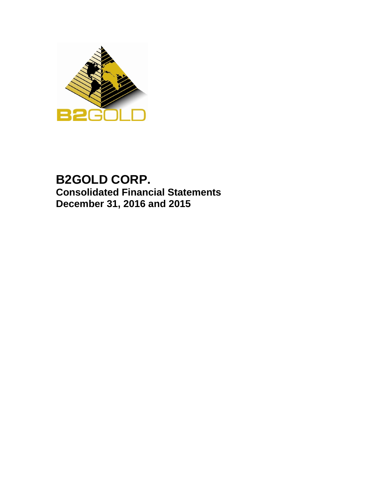

# **B2GOLD CORP. Consolidated Financial Statements December 31, 2016 and 2015**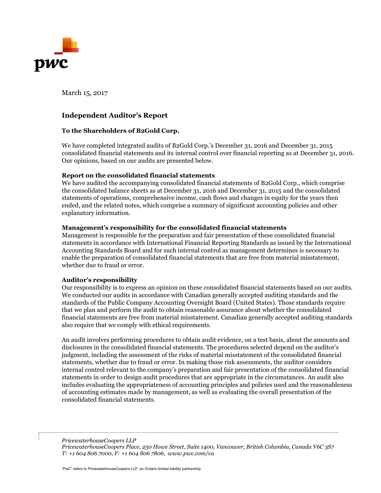

March 15, 2017

## **Independent Auditor's Report**

## **To the Shareholders of B2Gold Corp.**

We have completed integrated audits of B2Gold Corp.'s December 31, 2016 and December 31, 2015 consolidated financial statements and its internal control over financial reporting as at December 31, 2016. Our opinions, based on our audits are presented below.

## **Report on the consolidated financial statements**

We have audited the accompanying consolidated financial statements of B2Gold Corp., which comprise the consolidated balance sheets as at December 31, 2016 and December 31, 2015 and the consolidated statements of operations, comprehensive income, cash flows and changes in equity for the years then ended, and the related notes, which comprise a summary of significant accounting policies and other explanatory information.

## **Management's responsibility for the consolidated financial statements**

Management is responsible for the preparation and fair presentation of these consolidated financial statements in accordance with International Financial Reporting Standards as issued by the International Accounting Standards Board and for such internal control as management determines is necessary to enable the preparation of consolidated financial statements that are free from material misstatement, whether due to fraud or error.

### **Auditor's responsibility**

Our responsibility is to express an opinion on these consolidated financial statements based on our audits. We conducted our audits in accordance with Canadian generally accepted auditing standards and the standards of the Public Company Accounting Oversight Board (United States). Those standards require that we plan and perform the audit to obtain reasonable assurance about whether the consolidated financial statements are free from material misstatement. Canadian generally accepted auditing standards also require that we comply with ethical requirements.

An audit involves performing procedures to obtain audit evidence, on a test basis, about the amounts and disclosures in the consolidated financial statements. The procedures selected depend on the auditor's judgment, including the assessment of the risks of material misstatement of the consolidated financial statements, whether due to fraud or error. In making those risk assessments, the auditor considers internal control relevant to the company's preparation and fair presentation of the consolidated financial statements in order to design audit procedures that are appropriate in the circumstances. An audit also includes evaluating the appropriateness of accounting principles and policies used and the reasonableness of accounting estimates made by management, as well as evaluating the overall presentation of the consolidated financial statements.

*PricewaterhouseCoopers LLP*

*PricewaterhouseCoopers Place, 250 Howe Street, Suite 1400, Vancouver, British Columbia, Canada V6C 3S7 T: +1 604 806 7000, F: +1 604 806 7806, www.pwc.com/ca*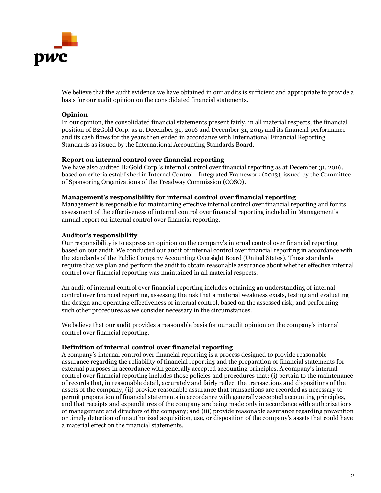

We believe that the audit evidence we have obtained in our audits is sufficient and appropriate to provide a basis for our audit opinion on the consolidated financial statements.

## **Opinion**

In our opinion, the consolidated financial statements present fairly, in all material respects, the financial position of B2Gold Corp. as at December 31, 2016 and December 31, 2015 and its financial performance and its cash flows for the years then ended in accordance with International Financial Reporting Standards as issued by the International Accounting Standards Board.

### **Report on internal control over financial reporting**

We have also audited B2Gold Corp.'s internal control over financial reporting as at December 31, 2016, based on criteria established in Internal Control - Integrated Framework (2013), issued by the Committee of Sponsoring Organizations of the Treadway Commission (COSO).

### **Management's responsibility for internal control over financial reporting**

Management is responsible for maintaining effective internal control over financial reporting and for its assessment of the effectiveness of internal control over financial reporting included in Management's annual report on internal control over financial reporting.

### **Auditor's responsibility**

Our responsibility is to express an opinion on the company's internal control over financial reporting based on our audit. We conducted our audit of internal control over financial reporting in accordance with the standards of the Public Company Accounting Oversight Board (United States). Those standards require that we plan and perform the audit to obtain reasonable assurance about whether effective internal control over financial reporting was maintained in all material respects.

An audit of internal control over financial reporting includes obtaining an understanding of internal control over financial reporting, assessing the risk that a material weakness exists, testing and evaluating the design and operating effectiveness of internal control, based on the assessed risk, and performing such other procedures as we consider necessary in the circumstances.

We believe that our audit provides a reasonable basis for our audit opinion on the company's internal control over financial reporting.

### **Definition of internal control over financial reporting**

A company's internal control over financial reporting is a process designed to provide reasonable assurance regarding the reliability of financial reporting and the preparation of financial statements for external purposes in accordance with generally accepted accounting principles. A company's internal control over financial reporting includes those policies and procedures that: (i) pertain to the maintenance of records that, in reasonable detail, accurately and fairly reflect the transactions and dispositions of the assets of the company; (ii) provide reasonable assurance that transactions are recorded as necessary to permit preparation of financial statements in accordance with generally accepted accounting principles, and that receipts and expenditures of the company are being made only in accordance with authorizations of management and directors of the company; and (iii) provide reasonable assurance regarding prevention or timely detection of unauthorized acquisition, use, or disposition of the company's assets that could have a material effect on the financial statements.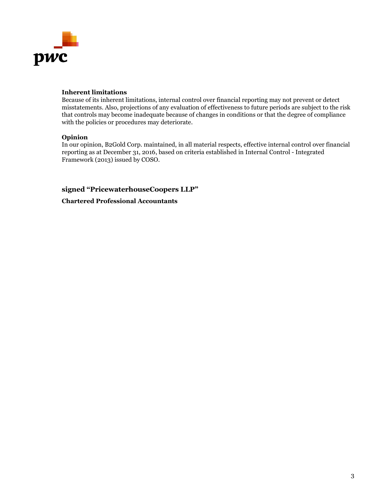

## **Inherent limitations**

Because of its inherent limitations, internal control over financial reporting may not prevent or detect misstatements. Also, projections of any evaluation of effectiveness to future periods are subject to the risk that controls may become inadequate because of changes in conditions or that the degree of compliance with the policies or procedures may deteriorate.

## **Opinion**

In our opinion, B2Gold Corp. maintained, in all material respects, effective internal control over financial reporting as at December 31, 2016, based on criteria established in Internal Control - Integrated Framework (2013) issued by COSO.

## **signed "PricewaterhouseCoopers LLP"**

**Chartered Professional Accountants**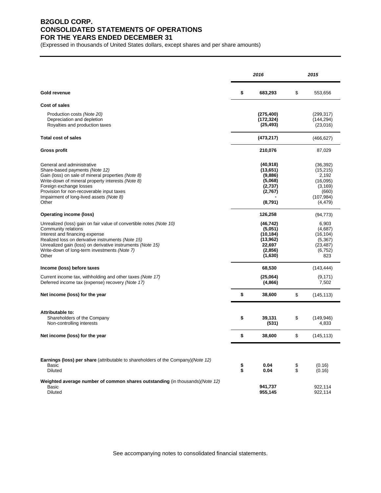## **B2GOLD CORP. CONSOLIDATED STATEMENTS OF OPERATIONS FOR THE YEARS ENDED DECEMBER 31**

(Expressed in thousands of United States dollars, except shares and per share amounts)

|                                                                                                                                                                                                                                                                                                          | 2016     |                                                                               |          | 2015                                                                                       |  |
|----------------------------------------------------------------------------------------------------------------------------------------------------------------------------------------------------------------------------------------------------------------------------------------------------------|----------|-------------------------------------------------------------------------------|----------|--------------------------------------------------------------------------------------------|--|
| Gold revenue                                                                                                                                                                                                                                                                                             | \$       | 683,293                                                                       | \$       | 553,656                                                                                    |  |
| Cost of sales                                                                                                                                                                                                                                                                                            |          |                                                                               |          |                                                                                            |  |
| Production costs (Note 20)<br>Depreciation and depletion<br>Royalties and production taxes                                                                                                                                                                                                               |          | (275, 400)<br>(172, 324)<br>(25, 493)                                         |          | (299, 317)<br>(144, 294)<br>(23,016)                                                       |  |
| <b>Total cost of sales</b>                                                                                                                                                                                                                                                                               |          | (473, 217)                                                                    |          | (466, 627)                                                                                 |  |
| Gross profit                                                                                                                                                                                                                                                                                             |          | 210,076                                                                       |          | 87,029                                                                                     |  |
| General and administrative<br>Share-based payments (Note 12)<br>Gain (loss) on sale of mineral properties (Note 8)<br>Write-down of mineral property interests (Note 8)<br>Foreign exchange losses<br>Provision for non-recoverable input taxes<br>Impairment of long-lived assets (Note 8)<br>Other     |          | (40, 918)<br>(13,651)<br>(9,886)<br>(5,068)<br>(2,737)<br>(2,767)<br>(8,791)  |          | (36, 392)<br>(15, 215)<br>2,192<br>(16,095)<br>(3, 169)<br>(660)<br>(107, 984)<br>(4, 479) |  |
| Operating income (loss)                                                                                                                                                                                                                                                                                  |          | 126,258                                                                       |          | (94, 773)                                                                                  |  |
| Unrealized (loss) gain on fair value of convertible notes (Note 10)<br>Community relations<br>Interest and financing expense<br>Realized loss on derivative instruments (Note 15)<br>Unrealized gain (loss) on derivative instruments (Note 15)<br>Write-down of long-term investments (Note 7)<br>Other |          | (46, 742)<br>(5,051)<br>(10, 184)<br>(13,962)<br>22,697<br>(2,856)<br>(1,630) |          | 6,903<br>(4,687)<br>(16, 104)<br>(5,367)<br>(23, 487)<br>(6, 752)<br>823                   |  |
| Income (loss) before taxes                                                                                                                                                                                                                                                                               |          | 68,530                                                                        |          | (143, 444)                                                                                 |  |
| Current income tax, withholding and other taxes (Note 17)<br>Deferred income tax (expense) recovery (Note 17)                                                                                                                                                                                            |          | (25,064)<br>(4,866)                                                           |          | (9, 171)<br>7,502                                                                          |  |
| Net income (loss) for the year                                                                                                                                                                                                                                                                           | \$       | 38,600                                                                        | \$       | (145, 113)                                                                                 |  |
| Attributable to:<br>Shareholders of the Company<br>Non-controlling interests                                                                                                                                                                                                                             | \$       | 39,131<br>(531)                                                               | \$       | (149, 946)<br>4,833                                                                        |  |
| Net income (loss) for the year                                                                                                                                                                                                                                                                           | \$       | 38,600                                                                        | \$       | (145, 113)                                                                                 |  |
|                                                                                                                                                                                                                                                                                                          |          |                                                                               |          |                                                                                            |  |
| <b>Earnings (loss) per share</b> (attributable to shareholders of the Company) (Note 12)<br>Basic<br><b>Diluted</b>                                                                                                                                                                                      | \$<br>\$ | 0.04<br>0.04                                                                  | \$<br>\$ | (0.16)<br>(0.16)                                                                           |  |
| Weighted average number of common shares outstanding (in thousands) (Note 12)<br>Basic<br>Diluted                                                                                                                                                                                                        |          | 941,737<br>955,145                                                            |          | 922,114<br>922,114                                                                         |  |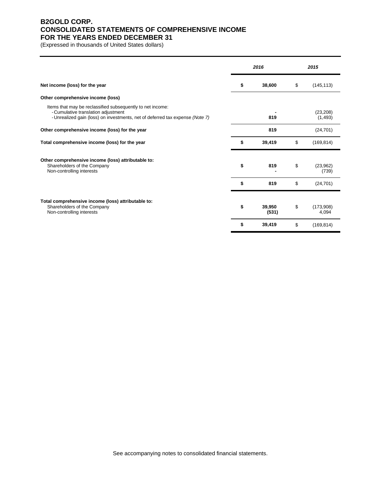## **B2GOLD CORP. CONSOLIDATED STATEMENTS OF COMPREHENSIVE INCOME FOR THE YEARS ENDED DECEMBER 31**

(Expressed in thousands of United States dollars)

|                                                                                                                                                                                    | 2016 |                 | 2015 |                       |
|------------------------------------------------------------------------------------------------------------------------------------------------------------------------------------|------|-----------------|------|-----------------------|
| Net income (loss) for the year                                                                                                                                                     | \$   | 38,600          | \$   | (145, 113)            |
| Other comprehensive income (loss)                                                                                                                                                  |      |                 |      |                       |
| Items that may be reclassified subsequently to net income:<br>- Cumulative translation adjustment<br>- Unrealized gain (loss) on investments, net of deferred tax expense (Note 7) |      | 819             |      | (23, 208)<br>(1, 493) |
| Other comprehensive income (loss) for the year                                                                                                                                     |      | 819             |      | (24, 701)             |
| Total comprehensive income (loss) for the year                                                                                                                                     | \$   | 39,419          | \$   | (169, 814)            |
| Other comprehensive income (loss) attributable to:<br>Shareholders of the Company<br>Non-controlling interests                                                                     | \$   | 819             | \$   | (23,962)<br>(739)     |
|                                                                                                                                                                                    | \$   | 819             | \$   | (24, 701)             |
| Total comprehensive income (loss) attributable to:<br>Shareholders of the Company<br>Non-controlling interests                                                                     | \$   | 39,950<br>(531) | \$   | (173,908)<br>4,094    |
|                                                                                                                                                                                    | \$   | 39,419          | \$   | (169, 814)            |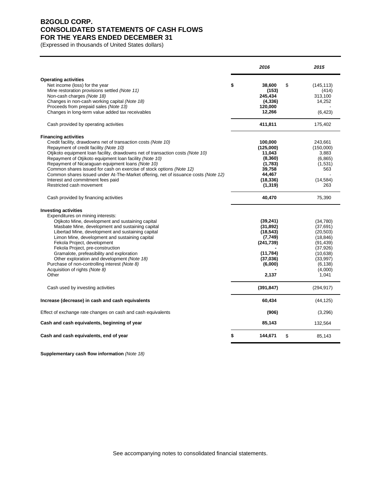## **B2GOLD CORP. CONSOLIDATED STATEMENTS OF CASH FLOWS FOR THE YEARS ENDED DECEMBER 31**

(Expressed in thousands of United States dollars)

|                                                                                                                                                                                                                                                                                                                                                                                                                                                                                                                                                                         | 2016                                                                                                     | 2015                                                                                                                               |
|-------------------------------------------------------------------------------------------------------------------------------------------------------------------------------------------------------------------------------------------------------------------------------------------------------------------------------------------------------------------------------------------------------------------------------------------------------------------------------------------------------------------------------------------------------------------------|----------------------------------------------------------------------------------------------------------|------------------------------------------------------------------------------------------------------------------------------------|
| <b>Operating activities</b><br>Net income (loss) for the year<br>Mine restoration provisions settled (Note 11)<br>Non-cash charges (Note 18)<br>Changes in non-cash working capital (Note 18)<br>Proceeds from prepaid sales (Note 13)<br>Changes in long-term value added tax receivables                                                                                                                                                                                                                                                                              | \$<br>38,600<br>(153)<br>245,434<br>(4, 336)<br>120,000<br>12,266                                        | \$<br>(145, 113)<br>(414)<br>313,100<br>14,252<br>(6, 423)                                                                         |
| Cash provided by operating activities                                                                                                                                                                                                                                                                                                                                                                                                                                                                                                                                   | 411,811                                                                                                  | 175,402                                                                                                                            |
| <b>Financing activities</b><br>Credit facility, drawdowns net of transaction costs (Note 10)<br>Repayment of credit facility (Note 10)<br>Otjikoto equipment loan facility, drawdowns net of transaction costs (Note 10)<br>Repayment of Otjikoto equipment loan facility (Note 10)<br>Repayment of Nicaraguan equipment loans (Note 10)<br>Common shares issued for cash on exercise of stock options (Note 12)<br>Common shares issued under At-The-Market offering, net of issuance costs (Note 12)<br>Interest and commitment fees paid<br>Restricted cash movement | 100,000<br>(125,000)<br>11,043<br>(8,360)<br>(1,783)<br>39.758<br>44,467<br>(18, 336)<br>(1, 319)        | 243,661<br>(150,000)<br>3,883<br>(6,865)<br>(1,531)<br>563<br>(14, 584)<br>263                                                     |
| Cash provided by financing activities                                                                                                                                                                                                                                                                                                                                                                                                                                                                                                                                   | 40,470                                                                                                   | 75,390                                                                                                                             |
| <b>Investing activities</b><br>Expenditures on mining interests:<br>Otjikoto Mine, development and sustaining capital<br>Masbate Mine, development and sustaining capital<br>Libertad Mine, development and sustaining capital<br>Limon Mine, development and sustaining capital<br>Fekola Project, development<br>Fekola Project, pre-construction<br>Gramalote, prefeasibility and exploration<br>Other exploration and development (Note 18)<br>Purchase of non-controlling interest (Note 8)<br>Acquisition of rights (Note 8)<br>Other                             | (39, 241)<br>(31, 892)<br>(18, 543)<br>(7,749)<br>(241, 739)<br>(11,784)<br>(37,036)<br>(6,000)<br>2,137 | (34,780)<br>(37, 691)<br>(20, 503)<br>(18, 846)<br>(91, 439)<br>(37, 926)<br>(10, 638)<br>(33,997)<br>(6, 138)<br>(4,000)<br>1,041 |
| Cash used by investing activities                                                                                                                                                                                                                                                                                                                                                                                                                                                                                                                                       | (391, 847)                                                                                               | (294, 917)                                                                                                                         |
| Increase (decrease) in cash and cash equivalents                                                                                                                                                                                                                                                                                                                                                                                                                                                                                                                        | 60,434                                                                                                   | (44, 125)                                                                                                                          |
| Effect of exchange rate changes on cash and cash equivalents                                                                                                                                                                                                                                                                                                                                                                                                                                                                                                            | (906)                                                                                                    | (3,296)                                                                                                                            |
| Cash and cash equivalents, beginning of year                                                                                                                                                                                                                                                                                                                                                                                                                                                                                                                            | 85,143                                                                                                   | 132,564                                                                                                                            |
| Cash and cash equivalents, end of year                                                                                                                                                                                                                                                                                                                                                                                                                                                                                                                                  | \$<br>144,671                                                                                            | \$<br>85,143                                                                                                                       |

**Supplementary cash flow information** *(Note 18)*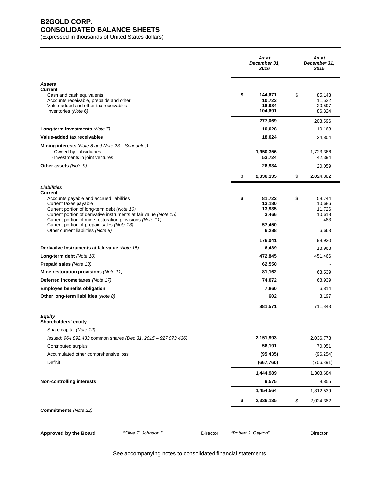## **B2GOLD CORP. CONSOLIDATED BALANCE SHEETS**

(Expressed in thousands of United States dollars)

|                                                                                                                                                                                                                                                                  | As at<br>December 31,<br>2016      | As at<br>December 31,<br>2015    |
|------------------------------------------------------------------------------------------------------------------------------------------------------------------------------------------------------------------------------------------------------------------|------------------------------------|----------------------------------|
| <b>Assets</b><br><b>Current</b><br>Cash and cash equivalents<br>Accounts receivable, prepaids and other<br>Value-added and other tax receivables                                                                                                                 | \$<br>144,671<br>10,723<br>16,984  | \$<br>85,143<br>11,532<br>20,597 |
| Inventories (Note 6)                                                                                                                                                                                                                                             | 104,691                            | 86,324                           |
|                                                                                                                                                                                                                                                                  | 277,069<br>10,028                  | 203,596<br>10,163                |
| Long-term investments (Note 7)<br>Value-added tax receivables                                                                                                                                                                                                    | 18,024                             | 24,804                           |
|                                                                                                                                                                                                                                                                  |                                    |                                  |
| <b>Mining interests</b> (Note 8 and Note $23 -$ Schedules)<br>- Owned by subsidiaries<br>- Investments in joint ventures                                                                                                                                         | 1,950,356<br>53,724                | 1,723,366<br>42,394              |
| <b>Other assets (Note 9)</b>                                                                                                                                                                                                                                     | 26,934                             | 20,059                           |
|                                                                                                                                                                                                                                                                  | \$<br>2,336,135                    | \$<br>2,024,382                  |
| Liabilities<br>Current<br>Accounts payable and accrued liabilities<br>Current taxes payable                                                                                                                                                                      | \$<br>81,722<br>13,180             | \$<br>58,744<br>10,686           |
| Current portion of long-term debt (Note 10)<br>Current portion of derivative instruments at fair value (Note 15)<br>Current portion of mine restoration provisions (Note 11)<br>Current portion of prepaid sales (Note 13)<br>Other current liabilities (Note 8) | 13,935<br>3,466<br>57,450<br>6,288 | 11,726<br>10,618<br>483<br>6,663 |
|                                                                                                                                                                                                                                                                  |                                    |                                  |
|                                                                                                                                                                                                                                                                  | 176,041                            | 98,920                           |
| Derivative instruments at fair value (Note 15)<br>Long-term debt (Note 10)                                                                                                                                                                                       | 6,439<br>472,845                   | 18,968<br>451,466                |
| Prepaid sales (Note 13)                                                                                                                                                                                                                                          | 62,550                             |                                  |
| Mine restoration provisions (Note 11)                                                                                                                                                                                                                            | 81,162                             | 63,539                           |
| Deferred income taxes (Note 17)                                                                                                                                                                                                                                  | 74,072                             | 68,939                           |
| <b>Employee benefits obligation</b>                                                                                                                                                                                                                              | 7,860                              | 6,814                            |
| Other long-term liabilities (Note 8)                                                                                                                                                                                                                             | 602                                | 3,197                            |
|                                                                                                                                                                                                                                                                  | 881,571                            | 711,843                          |
| <b>Equity</b><br>Shareholders' equity<br>Share capital (Note 12)                                                                                                                                                                                                 |                                    |                                  |
| Issued: 964,892,433 common shares (Dec 31, 2015 - 927,073,436)                                                                                                                                                                                                   | 2,151,993                          | 2,036,778                        |
| Contributed surplus                                                                                                                                                                                                                                              | 56,191                             | 70,051                           |
| Accumulated other comprehensive loss                                                                                                                                                                                                                             | (95, 435)                          | (96, 254)                        |
| Deficit                                                                                                                                                                                                                                                          | (667, 760)                         | (706, 891)                       |
|                                                                                                                                                                                                                                                                  | 1,444,989                          | 1,303,684                        |
| <b>Non-controlling interests</b>                                                                                                                                                                                                                                 | 9,575                              | 8,855                            |
|                                                                                                                                                                                                                                                                  | 1,454,564                          | 1,312,539                        |
|                                                                                                                                                                                                                                                                  | \$<br>2,336,135                    | \$<br>2,024,382                  |
| Commitments (Note 22)                                                                                                                                                                                                                                            |                                    |                                  |
| <b>Approved by the Board</b><br>"Clive T. Johnson"<br>Director                                                                                                                                                                                                   | "Robert J. Gayton"                 | Director                         |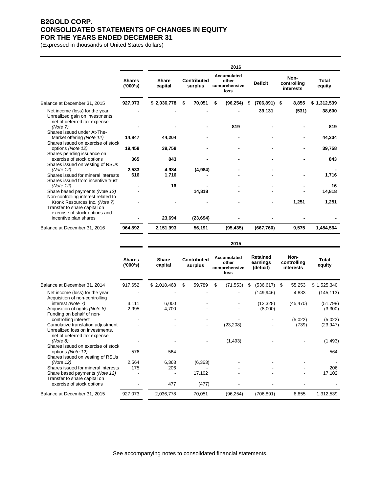## **B2GOLD CORP. CONSOLIDATED STATEMENTS OF CHANGES IN EQUITY FOR THE YEARS ENDED DECEMBER 31**

(Expressed in thousands of United States dollars)

|                                                                                                  |                           |                         |                        | 2016                                          |                      |                                  |                        |
|--------------------------------------------------------------------------------------------------|---------------------------|-------------------------|------------------------|-----------------------------------------------|----------------------|----------------------------------|------------------------|
|                                                                                                  | <b>Shares</b><br>('000's) | <b>Share</b><br>capital | Contributed<br>surplus | Accumulated<br>other<br>comprehensive<br>loss | <b>Deficit</b>       | Non-<br>controlling<br>interests | <b>Total</b><br>equity |
| Balance at December 31, 2015                                                                     | 927,073                   | \$2,036,778             | 70,051<br>-\$          | \$<br>(96, 254)                               | $(706, 891)$ \$<br>S | 8,855                            | \$1,312,539            |
| Net income (loss) for the year<br>Unrealized gain on investments,<br>net of deferred tax expense |                           |                         |                        |                                               | 39,131               | (531)                            | 38,600                 |
| (Note 7)<br>Shares issued under At-The-                                                          |                           |                         |                        | 819                                           |                      |                                  | 819                    |
| Market offering (Note 12)<br>Shares issued on exercise of stock                                  | 14,847                    | 44,204                  |                        |                                               |                      |                                  | 44,204                 |
| options (Note 12)                                                                                | 19,458                    | 39,758                  |                        |                                               |                      |                                  | 39,758                 |
| Shares pending issuance on<br>exercise of stock options<br>Shares issued on vesting of RSUs      | 365                       | 843                     |                        |                                               |                      |                                  | 843                    |
| (Note 12)                                                                                        | 2,533                     | 4,984                   | (4,984)                |                                               |                      |                                  |                        |
| Shares issued for mineral interests<br>Shares issued from incentive trust                        | 616                       | 1,716                   |                        |                                               |                      |                                  | 1,716                  |
| (Note 12)                                                                                        |                           | 16                      |                        |                                               |                      |                                  | 16                     |
| Share based payments (Note 12)<br>Non-controlling interest related to                            |                           |                         | 14,818                 |                                               |                      |                                  | 14.818                 |
| Kronk Resources Inc. (Note 7)<br>Transfer to share capital on<br>exercise of stock options and   |                           |                         |                        |                                               |                      | 1.251                            | 1,251                  |
| incentive plan shares                                                                            |                           | 23,694                  | (23, 694)              |                                               |                      |                                  |                        |
| Balance at December 31, 2016                                                                     | 964,892                   | 2,151,993               | 56,191                 | (95, 435)                                     | (667, 760)           | 9,575                            | 1,454,564              |
|                                                                                                  |                           |                         |                        |                                               |                      |                                  |                        |

|                                                                                                     | <b>Shares</b><br>('000's) | Share<br>capital | <b>Contributed</b><br>surplus |    | Accumulated<br>other<br>comprehensive<br>loss | Retained<br>earnings<br>(deficit) | Non-<br>controlling<br>interests | Total<br>equity |
|-----------------------------------------------------------------------------------------------------|---------------------------|------------------|-------------------------------|----|-----------------------------------------------|-----------------------------------|----------------------------------|-----------------|
| Balance at December 31, 2014                                                                        | 917,652                   | \$2,018,468      | \$<br>59,789                  | S. | (71, 553)                                     | (536, 617)<br>S                   | 55,253<br>- \$                   | \$1,525,340     |
| Net income (loss) for the year<br>Acquisition of non-controlling                                    |                           |                  |                               |    |                                               | (149, 946)                        | 4,833                            | (145, 113)      |
| interest (Note 7)                                                                                   | 3,111                     | 6,000            |                               |    |                                               | (12, 328)                         | (45, 470)                        | (51, 798)       |
| Acquisition of rights (Note 8)                                                                      | 2,995                     | 4,700            |                               |    |                                               | (8,000)                           |                                  | (3,300)         |
| Funding on behalf of non-                                                                           |                           |                  |                               |    |                                               |                                   |                                  |                 |
| controlling interest                                                                                |                           |                  |                               |    |                                               |                                   | (5,022)                          | (5,022)         |
| Cumulative translation adjustment<br>Unrealized loss on investments,<br>net of deferred tax expense |                           |                  | $\overline{\phantom{a}}$      |    | (23, 208)                                     |                                   | (739)                            | (23, 947)       |
| (Note 8)                                                                                            |                           |                  |                               |    | (1, 493)                                      |                                   |                                  | (1, 493)        |
| Shares issued on exercise of stock<br>options (Note 12)<br>Shares issued on vesting of RSUs         | 576                       | 564              |                               |    |                                               |                                   |                                  | 564             |
| (Note 12)                                                                                           | 2,564                     | 6,363            | (6, 363)                      |    |                                               |                                   |                                  |                 |
| Shares issued for mineral interests                                                                 | 175                       | 206              |                               |    |                                               |                                   |                                  | 206             |
| Share based payments (Note 12)<br>Transfer to share capital on                                      |                           |                  | 17,102                        |    |                                               |                                   |                                  | 17,102          |
| exercise of stock options                                                                           |                           | 477              | (477)                         |    |                                               |                                   |                                  |                 |
| Balance at December 31, 2015                                                                        | 927,073                   | 2,036,778        | 70,051                        |    | (96, 254)                                     | (706, 891)                        | 8,855                            | 1,312,539       |

**2015**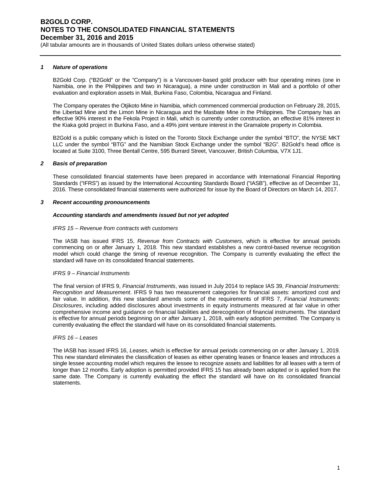(All tabular amounts are in thousands of United States dollars unless otherwise stated)

### *1 Nature of operations*

B2Gold Corp. ("B2Gold" or the "Company") is a Vancouver-based gold producer with four operating mines (one in Namibia, one in the Philippines and two in Nicaragua), a mine under construction in Mali and a portfolio of other evaluation and exploration assets in Mali, Burkina Faso, Colombia, Nicaragua and Finland.

The Company operates the Otjikoto Mine in Namibia, which commenced commercial production on February 28, 2015, the Libertad Mine and the Limon Mine in Nicaragua and the Masbate Mine in the Philippines. The Company has an effective 90% interest in the Fekola Project in Mali, which is currently under construction, an effective 81% interest in the Kiaka gold project in Burkina Faso, and a 49% joint venture interest in the Gramalote property in Colombia.

B2Gold is a public company which is listed on the Toronto Stock Exchange under the symbol "BTO", the NYSE MKT LLC under the symbol "BTG" and the Namibian Stock Exchange under the symbol "B2G". B2Gold's head office is located at Suite 3100, Three Bentall Centre, 595 Burrard Street, Vancouver, British Columbia, V7X 1J1.

### *2 Basis of preparation*

These consolidated financial statements have been prepared in accordance with International Financial Reporting Standards ("IFRS") as issued by the International Accounting Standards Board ("IASB"), effective as of December 31, 2016. These consolidated financial statements were authorized for issue by the Board of Directors on March 14, 2017.

### *3 Recent accounting pronouncements*

### *Accounting standards and amendments issued but not yet adopted*

### *IFRS 15 – Revenue from contracts with customers*

The IASB has issued IFRS 15, *Revenue from Contracts with Customers*, which is effective for annual periods commencing on or after January 1, 2018. This new standard establishes a new control-based revenue recognition model which could change the timing of revenue recognition. The Company is currently evaluating the effect the standard will have on its consolidated financial statements.

### *IFRS 9 – Financial Instruments*

The final version of IFRS 9, *Financial Instruments*, was issued in July 2014 to replace IAS 39, *Financial Instruments: Recognition and Measurement*. IFRS 9 has two measurement categories for financial assets: amortized cost and fair value. In addition, this new standard amends some of the requirements of IFRS 7, *Financial Instruments: Disclosures*, including added disclosures about investments in equity instruments measured at fair value in other comprehensive income and guidance on financial liabilities and derecognition of financial instruments. The standard is effective for annual periods beginning on or after January 1, 2018, with early adoption permitted. The Company is currently evaluating the effect the standard will have on its consolidated financial statements.

### *IFRS 16 – Leases*

The IASB has issued IFRS 16, *Leases*, which is effective for annual periods commencing on or after January 1, 2019. This new standard eliminates the classification of leases as either operating leases or finance leases and introduces a single lessee accounting model which requires the lessee to recognize assets and liabilities for all leases with a term of longer than 12 months. Early adoption is permitted provided IFRS 15 has already been adopted or is applied from the same date. The Company is currently evaluating the effect the standard will have on its consolidated financial statements.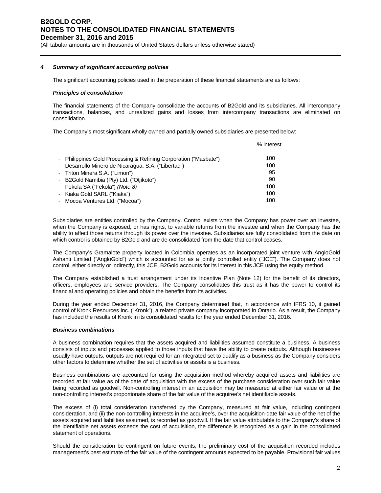(All tabular amounts are in thousands of United States dollars unless otherwise stated)

### *4 Summary of significant accounting policies*

The significant accounting policies used in the preparation of these financial statements are as follows:

### *Principles of consolidation*

The financial statements of the Company consolidate the accounts of B2Gold and its subsidiaries. All intercompany transactions, balances, and unrealized gains and losses from intercompany transactions are eliminated on consolidation.

The Company's most significant wholly owned and partially owned subsidiaries are presented below:

|                                                                  | % interest |
|------------------------------------------------------------------|------------|
| - Philippines Gold Processing & Refining Corporation ("Masbate") | 100        |
| - Desarrollo Minero de Nicaragua, S.A. ("Libertad")              | 100        |
| - Triton Minera S.A. ("Limon")                                   | 95         |
| - B2Gold Namibia (Pty) Ltd. ("Otjikoto")                         | 90         |
| - Fekola SA ("Fekola") (Note 8)                                  | 100        |
| - Kiaka Gold SARL ("Kiaka")                                      | 100        |
| - Mocoa Ventures Ltd. ("Mocoa")                                  | 100        |
|                                                                  |            |

Subsidiaries are entities controlled by the Company. Control exists when the Company has power over an investee, when the Company is exposed, or has rights, to variable returns from the investee and when the Company has the ability to affect those returns through its power over the investee. Subsidiaries are fully consolidated from the date on which control is obtained by B2Gold and are de-consolidated from the date that control ceases.

The Company's Gramalote property located in Colombia operates as an incorporated joint venture with AngloGold Ashanti Limited ("AngloGold") which is accounted for as a jointly controlled entity ("JCE"). The Company does not control, either directly or indirectly, this JCE. B2Gold accounts for its interest in this JCE using the equity method.

The Company established a trust arrangement under its Incentive Plan (Note 12) for the benefit of its directors, officers, employees and service providers. The Company consolidates this trust as it has the power to control its financial and operating policies and obtain the benefits from its activities.

During the year ended December 31, 2016, the Company determined that, in accordance with IFRS 10, it gained control of Kronk Resources Inc. ("Kronk"), a related private company incorporated in Ontario. As a result, the Company has included the results of Kronk in its consolidated results for the year ended December 31, 2016.

### *Business combinations*

A business combination requires that the assets acquired and liabilities assumed constitute a business. A business consists of inputs and processes applied to those inputs that have the ability to create outputs. Although businesses usually have outputs, outputs are not required for an integrated set to qualify as a business as the Company considers other factors to determine whether the set of activities or assets is a business.

Business combinations are accounted for using the acquisition method whereby acquired assets and liabilities are recorded at fair value as of the date of acquisition with the excess of the purchase consideration over such fair value being recorded as goodwill. Non-controlling interest in an acquisition may be measured at either fair value or at the non-controlling interest's proportionate share of the fair value of the acquiree's net identifiable assets.

The excess of (i) total consideration transferred by the Company, measured at fair value, including contingent consideration, and (ii) the non-controlling interests in the acquiree's, over the acquisition-date fair value of the net of the assets acquired and liabilities assumed, is recorded as goodwill. If the fair value attributable to the Company's share of the identifiable net assets exceeds the cost of acquisition, the difference is recognized as a gain in the consolidated statement of operations.

Should the consideration be contingent on future events, the preliminary cost of the acquisition recorded includes management's best estimate of the fair value of the contingent amounts expected to be payable. Provisional fair values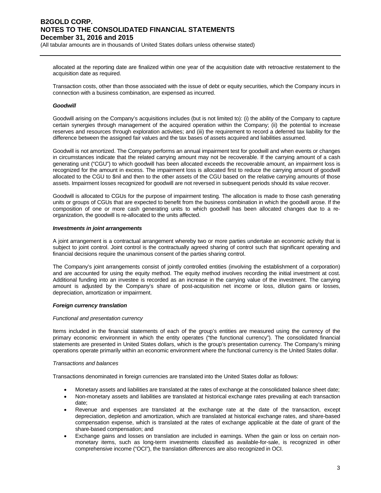(All tabular amounts are in thousands of United States dollars unless otherwise stated)

allocated at the reporting date are finalized within one year of the acquisition date with retroactive restatement to the acquisition date as required.

Transaction costs, other than those associated with the issue of debt or equity securities, which the Company incurs in connection with a business combination, are expensed as incurred.

### *Goodwill*

Goodwill arising on the Company's acquisitions includes (but is not limited to): (i) the ability of the Company to capture certain synergies through management of the acquired operation within the Company; (ii) the potential to increase reserves and resources through exploration activities; and (iii) the requirement to record a deferred tax liability for the difference between the assigned fair values and the tax bases of assets acquired and liabilities assumed.

Goodwill is not amortized. The Company performs an annual impairment test for goodwill and when events or changes in circumstances indicate that the related carrying amount may not be recoverable. If the carrying amount of a cash generating unit ("CGU") to which goodwill has been allocated exceeds the recoverable amount, an impairment loss is recognized for the amount in excess. The impairment loss is allocated first to reduce the carrying amount of goodwill allocated to the CGU to \$nil and then to the other assets of the CGU based on the relative carrying amounts of those assets. Impairment losses recognized for goodwill are not reversed in subsequent periods should its value recover.

Goodwill is allocated to CGUs for the purpose of impairment testing. The allocation is made to those cash generating units or groups of CGUs that are expected to benefit from the business combination in which the goodwill arose. If the composition of one or more cash generating units to which goodwill has been allocated changes due to a reorganization, the goodwill is re-allocated to the units affected.

### *Investments in joint arrangements*

A joint arrangement is a contractual arrangement whereby two or more parties undertake an economic activity that is subject to joint control. Joint control is the contractually agreed sharing of control such that significant operating and financial decisions require the unanimous consent of the parties sharing control.

The Company's joint arrangements consist of jointly controlled entities (involving the establishment of a corporation) and are accounted for using the equity method. The equity method involves recording the initial investment at cost. Additional funding into an investee is recorded as an increase in the carrying value of the investment. The carrying amount is adjusted by the Company's share of post-acquisition net income or loss, dilution gains or losses, depreciation, amortization or impairment.

### *Foreign currency translation*

### *Functional and presentation currency*

Items included in the financial statements of each of the group's entities are measured using the currency of the primary economic environment in which the entity operates ("the functional currency"). The consolidated financial statements are presented in United States dollars, which is the group's presentation currency. The Company's mining operations operate primarily within an economic environment where the functional currency is the United States dollar.

### *Transactions and balances*

Transactions denominated in foreign currencies are translated into the United States dollar as follows:

- Monetary assets and liabilities are translated at the rates of exchange at the consolidated balance sheet date;
- Non-monetary assets and liabilities are translated at historical exchange rates prevailing at each transaction date;
- Revenue and expenses are translated at the exchange rate at the date of the transaction, except depreciation, depletion and amortization, which are translated at historical exchange rates, and share-based compensation expense, which is translated at the rates of exchange applicable at the date of grant of the share-based compensation; and
- Exchange gains and losses on translation are included in earnings. When the gain or loss on certain nonmonetary items, such as long-term investments classified as available-for-sale, is recognized in other comprehensive income ("OCI"), the translation differences are also recognized in OCI.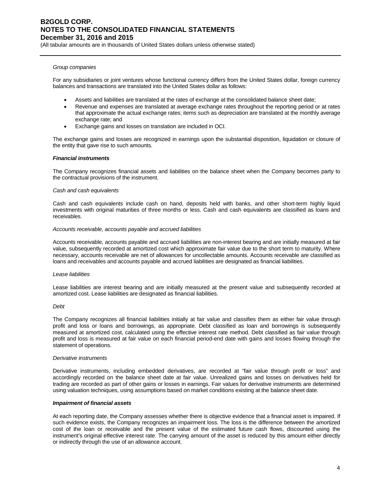(All tabular amounts are in thousands of United States dollars unless otherwise stated)

### *Group companies*

For any subsidiaries or joint ventures whose functional currency differs from the United States dollar, foreign currency balances and transactions are translated into the United States dollar as follows:

- Assets and liabilities are translated at the rates of exchange at the consolidated balance sheet date;
- Revenue and expenses are translated at average exchange rates throughout the reporting period or at rates that approximate the actual exchange rates; items such as depreciation are translated at the monthly average exchange rate; and
- Exchange gains and losses on translation are included in OCI.

The exchange gains and losses are recognized in earnings upon the substantial disposition, liquidation or closure of the entity that gave rise to such amounts.

#### *Financial instruments*

The Company recognizes financial assets and liabilities on the balance sheet when the Company becomes party to the contractual provisions of the instrument.

#### *Cash and cash equivalents*

Cash and cash equivalents include cash on hand, deposits held with banks, and other short-term highly liquid investments with original maturities of three months or less. Cash and cash equivalents are classified as loans and receivables.

### *Accounts receivable, accounts payable and accrued liabilities*

Accounts receivable, accounts payable and accrued liabilities are non-interest bearing and are initially measured at fair value, subsequently recorded at amortized cost which approximate fair value due to the short term to maturity. Where necessary, accounts receivable are net of allowances for uncollectable amounts. Accounts receivable are classified as loans and receivables and accounts payable and accrued liabilities are designated as financial liabilities.

### *Lease liabilities*

Lease liabilities are interest bearing and are initially measured at the present value and subsequently recorded at amortized cost. Lease liabilities are designated as financial liabilities.

#### *Debt*

The Company recognizes all financial liabilities initially at fair value and classifies them as either fair value through profit and loss or loans and borrowings, as appropriate. Debt classified as loan and borrowings is subsequently measured at amortized cost, calculated using the effective interest rate method. Debt classified as fair value through profit and loss is measured at fair value on each financial period-end date with gains and losses flowing through the statement of operations.

#### *Derivative instruments*

Derivative instruments, including embedded derivatives, are recorded at "fair value through profit or loss" and accordingly recorded on the balance sheet date at fair value. Unrealized gains and losses on derivatives held for trading are recorded as part of other gains or losses in earnings. Fair values for derivative instruments are determined using valuation techniques, using assumptions based on market conditions existing at the balance sheet date.

### *Impairment of financial assets*

At each reporting date, the Company assesses whether there is objective evidence that a financial asset is impaired. If such evidence exists, the Company recognizes an impairment loss. The loss is the difference between the amortized cost of the loan or receivable and the present value of the estimated future cash flows, discounted using the instrument's original effective interest rate. The carrying amount of the asset is reduced by this amount either directly or indirectly through the use of an allowance account.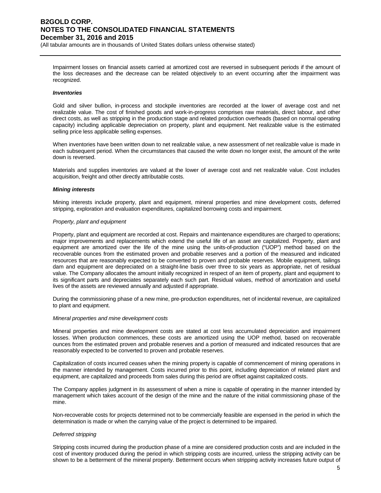(All tabular amounts are in thousands of United States dollars unless otherwise stated)

Impairment losses on financial assets carried at amortized cost are reversed in subsequent periods if the amount of the loss decreases and the decrease can be related objectively to an event occurring after the impairment was recognized.

#### *Inventories*

Gold and silver bullion, in-process and stockpile inventories are recorded at the lower of average cost and net realizable value. The cost of finished goods and work-in-progress comprises raw materials, direct labour, and other direct costs, as well as stripping in the production stage and related production overheads (based on normal operating capacity) including applicable depreciation on property, plant and equipment. Net realizable value is the estimated selling price less applicable selling expenses.

When inventories have been written down to net realizable value, a new assessment of net realizable value is made in each subsequent period. When the circumstances that caused the write down no longer exist, the amount of the write down is reversed.

Materials and supplies inventories are valued at the lower of average cost and net realizable value. Cost includes acquisition, freight and other directly attributable costs.

#### *Mining interests*

Mining interests include property, plant and equipment, mineral properties and mine development costs, deferred stripping, exploration and evaluation expenditures, capitalized borrowing costs and impairment.

#### *Property, plant and equipment*

Property, plant and equipment are recorded at cost. Repairs and maintenance expenditures are charged to operations; major improvements and replacements which extend the useful life of an asset are capitalized. Property, plant and equipment are amortized over the life of the mine using the units-of-production ("UOP") method based on the recoverable ounces from the estimated proven and probable reserves and a portion of the measured and indicated resources that are reasonably expected to be converted to proven and probable reserves. Mobile equipment, tailings dam and equipment are depreciated on a straight-line basis over three to six years as appropriate, net of residual value. The Company allocates the amount initially recognized in respect of an item of property, plant and equipment to its significant parts and depreciates separately each such part. Residual values, method of amortization and useful lives of the assets are reviewed annually and adjusted if appropriate.

During the commissioning phase of a new mine, pre-production expenditures, net of incidental revenue, are capitalized to plant and equipment.

#### *Mineral properties and mine development costs*

Mineral properties and mine development costs are stated at cost less accumulated depreciation and impairment losses. When production commences, these costs are amortized using the UOP method, based on recoverable ounces from the estimated proven and probable reserves and a portion of measured and indicated resources that are reasonably expected to be converted to proven and probable reserves.

Capitalization of costs incurred ceases when the mining property is capable of commencement of mining operations in the manner intended by management. Costs incurred prior to this point, including depreciation of related plant and equipment, are capitalized and proceeds from sales during this period are offset against capitalized costs.

The Company applies judgment in its assessment of when a mine is capable of operating in the manner intended by management which takes account of the design of the mine and the nature of the initial commissioning phase of the mine.

Non-recoverable costs for projects determined not to be commercially feasible are expensed in the period in which the determination is made or when the carrying value of the project is determined to be impaired.

### *Deferred stripping*

Stripping costs incurred during the production phase of a mine are considered production costs and are included in the cost of inventory produced during the period in which stripping costs are incurred, unless the stripping activity can be shown to be a betterment of the mineral property. Betterment occurs when stripping activity increases future output of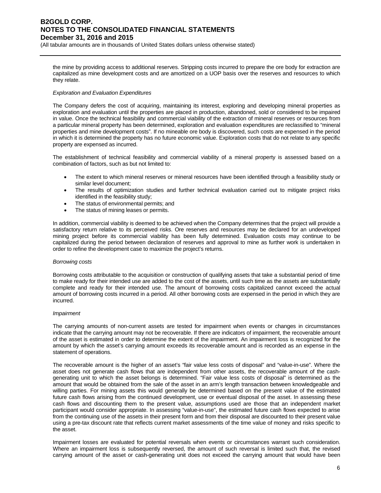(All tabular amounts are in thousands of United States dollars unless otherwise stated)

the mine by providing access to additional reserves. Stripping costs incurred to prepare the ore body for extraction are capitalized as mine development costs and are amortized on a UOP basis over the reserves and resources to which they relate.

### *Exploration and Evaluation Expenditures*

The Company defers the cost of acquiring, maintaining its interest, exploring and developing mineral properties as exploration and evaluation until the properties are placed in production, abandoned, sold or considered to be impaired in value. Once the technical feasibility and commercial viability of the extraction of mineral reserves or resources from a particular mineral property has been determined, exploration and evaluation expenditures are reclassified to "mineral properties and mine development costs". If no mineable ore body is discovered, such costs are expensed in the period in which it is determined the property has no future economic value. Exploration costs that do not relate to any specific property are expensed as incurred.

The establishment of technical feasibility and commercial viability of a mineral property is assessed based on a combination of factors, such as but not limited to:

- The extent to which mineral reserves or mineral resources have been identified through a feasibility study or similar level document;
- The results of optimization studies and further technical evaluation carried out to mitigate project risks identified in the feasibility study;
- The status of environmental permits; and
- The status of mining leases or permits.

In addition, commercial viability is deemed to be achieved when the Company determines that the project will provide a satisfactory return relative to its perceived risks. Ore reserves and resources may be declared for an undeveloped mining project before its commercial viability has been fully determined. Evaluation costs may continue to be capitalized during the period between declaration of reserves and approval to mine as further work is undertaken in order to refine the development case to maximize the project's returns.

### *Borrowing costs*

Borrowing costs attributable to the acquisition or construction of qualifying assets that take a substantial period of time to make ready for their intended use are added to the cost of the assets, until such time as the assets are substantially complete and ready for their intended use. The amount of borrowing costs capitalized cannot exceed the actual amount of borrowing costs incurred in a period. All other borrowing costs are expensed in the period in which they are incurred.

### *Impairment*

The carrying amounts of non-current assets are tested for impairment when events or changes in circumstances indicate that the carrying amount may not be recoverable. If there are indicators of impairment, the recoverable amount of the asset is estimated in order to determine the extent of the impairment. An impairment loss is recognized for the amount by which the asset's carrying amount exceeds its recoverable amount and is recorded as an expense in the statement of operations.

The recoverable amount is the higher of an asset's "fair value less costs of disposal" and "value-in-use". Where the asset does not generate cash flows that are independent from other assets, the recoverable amount of the cashgenerating unit to which the asset belongs is determined. "Fair value less costs of disposal" is determined as the amount that would be obtained from the sale of the asset in an arm's length transaction between knowledgeable and willing parties. For mining assets this would generally be determined based on the present value of the estimated future cash flows arising from the continued development, use or eventual disposal of the asset. In assessing these cash flows and discounting them to the present value, assumptions used are those that an independent market participant would consider appropriate. In assessing "value-in-use", the estimated future cash flows expected to arise from the continuing use of the assets in their present form and from their disposal are discounted to their present value using a pre-tax discount rate that reflects current market assessments of the time value of money and risks specific to the asset.

Impairment losses are evaluated for potential reversals when events or circumstances warrant such consideration. Where an impairment loss is subsequently reversed, the amount of such reversal is limited such that, the revised carrying amount of the asset or cash-generating unit does not exceed the carrying amount that would have been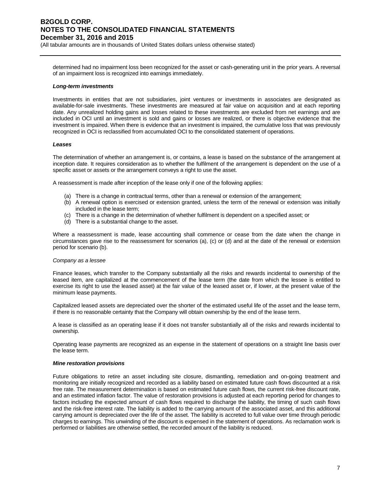(All tabular amounts are in thousands of United States dollars unless otherwise stated)

determined had no impairment loss been recognized for the asset or cash-generating unit in the prior years. A reversal of an impairment loss is recognized into earnings immediately.

### *Long-term investments*

Investments in entities that are not subsidiaries, joint ventures or investments in associates are designated as available-for-sale investments. These investments are measured at fair value on acquisition and at each reporting date. Any unrealized holding gains and losses related to these investments are excluded from net earnings and are included in OCI until an investment is sold and gains or losses are realized, or there is objective evidence that the investment is impaired. When there is evidence that an investment is impaired, the cumulative loss that was previously recognized in OCI is reclassified from accumulated OCI to the consolidated statement of operations.

### *Leases*

The determination of whether an arrangement is, or contains, a lease is based on the substance of the arrangement at inception date. It requires consideration as to whether the fulfilment of the arrangement is dependent on the use of a specific asset or assets or the arrangement conveys a right to use the asset.

A reassessment is made after inception of the lease only if one of the following applies:

- (a) There is a change in contractual terms, other than a renewal or extension of the arrangement;
- (b) A renewal option is exercised or extension granted, unless the term of the renewal or extension was initially included in the lease term;
- (c) There is a change in the determination of whether fulfilment is dependent on a specified asset; or
- (d) There is a substantial change to the asset.

Where a reassessment is made, lease accounting shall commence or cease from the date when the change in circumstances gave rise to the reassessment for scenarios (a), (c) or (d) and at the date of the renewal or extension period for scenario (b).

### *Company as a lessee*

Finance leases, which transfer to the Company substantially all the risks and rewards incidental to ownership of the leased item, are capitalized at the commencement of the lease term (the date from which the lessee is entitled to exercise its right to use the leased asset) at the fair value of the leased asset or, if lower, at the present value of the minimum lease payments.

Capitalized leased assets are depreciated over the shorter of the estimated useful life of the asset and the lease term, if there is no reasonable certainty that the Company will obtain ownership by the end of the lease term.

A lease is classified as an operating lease if it does not transfer substantially all of the risks and rewards incidental to ownership.

Operating lease payments are recognized as an expense in the statement of operations on a straight line basis over the lease term.

### *Mine restoration provisions*

Future obligations to retire an asset including site closure, dismantling, remediation and on-going treatment and monitoring are initially recognized and recorded as a liability based on estimated future cash flows discounted at a risk free rate. The measurement determination is based on estimated future cash flows, the current risk-free discount rate, and an estimated inflation factor. The value of restoration provisions is adjusted at each reporting period for changes to factors including the expected amount of cash flows required to discharge the liability, the timing of such cash flows and the risk-free interest rate. The liability is added to the carrying amount of the associated asset, and this additional carrying amount is depreciated over the life of the asset. The liability is accreted to full value over time through periodic charges to earnings. This unwinding of the discount is expensed in the statement of operations. As reclamation work is performed or liabilities are otherwise settled, the recorded amount of the liability is reduced.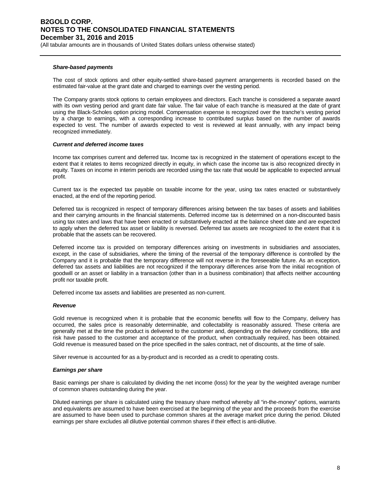(All tabular amounts are in thousands of United States dollars unless otherwise stated)

### *Share-based payments*

The cost of stock options and other equity-settled share-based payment arrangements is recorded based on the estimated fair-value at the grant date and charged to earnings over the vesting period.

The Company grants stock options to certain employees and directors. Each tranche is considered a separate award with its own vesting period and grant date fair value. The fair value of each tranche is measured at the date of grant using the Black-Scholes option pricing model. Compensation expense is recognized over the tranche's vesting period by a charge to earnings, with a corresponding increase to contributed surplus based on the number of awards expected to vest. The number of awards expected to vest is reviewed at least annually, with any impact being recognized immediately.

### *Current and deferred income taxes*

Income tax comprises current and deferred tax. Income tax is recognized in the statement of operations except to the extent that it relates to items recognized directly in equity, in which case the income tax is also recognized directly in equity. Taxes on income in interim periods are recorded using the tax rate that would be applicable to expected annual profit.

Current tax is the expected tax payable on taxable income for the year, using tax rates enacted or substantively enacted, at the end of the reporting period.

Deferred tax is recognized in respect of temporary differences arising between the tax bases of assets and liabilities and their carrying amounts in the financial statements. Deferred income tax is determined on a non-discounted basis using tax rates and laws that have been enacted or substantively enacted at the balance sheet date and are expected to apply when the deferred tax asset or liability is reversed. Deferred tax assets are recognized to the extent that it is probable that the assets can be recovered.

Deferred income tax is provided on temporary differences arising on investments in subsidiaries and associates, except, in the case of subsidiaries, where the timing of the reversal of the temporary difference is controlled by the Company and it is probable that the temporary difference will not reverse in the foreseeable future. As an exception, deferred tax assets and liabilities are not recognized if the temporary differences arise from the initial recognition of goodwill or an asset or liability in a transaction (other than in a business combination) that affects neither accounting profit nor taxable profit.

Deferred income tax assets and liabilities are presented as non-current.

### *Revenue*

Gold revenue is recognized when it is probable that the economic benefits will flow to the Company, delivery has occurred, the sales price is reasonably determinable, and collectability is reasonably assured. These criteria are generally met at the time the product is delivered to the customer and, depending on the delivery conditions, title and risk have passed to the customer and acceptance of the product, when contractually required, has been obtained. Gold revenue is measured based on the price specified in the sales contract, net of discounts, at the time of sale.

Silver revenue is accounted for as a by-product and is recorded as a credit to operating costs.

### *Earnings per share*

Basic earnings per share is calculated by dividing the net income (loss) for the year by the weighted average number of common shares outstanding during the year.

Diluted earnings per share is calculated using the treasury share method whereby all "in-the-money" options, warrants and equivalents are assumed to have been exercised at the beginning of the year and the proceeds from the exercise are assumed to have been used to purchase common shares at the average market price during the period. Diluted earnings per share excludes all dilutive potential common shares if their effect is anti-dilutive.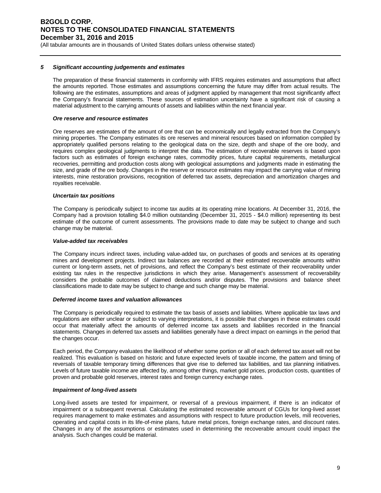(All tabular amounts are in thousands of United States dollars unless otherwise stated)

### *5 Significant accounting judgements and estimates*

The preparation of these financial statements in conformity with IFRS requires estimates and assumptions that affect the amounts reported. Those estimates and assumptions concerning the future may differ from actual results. The following are the estimates, assumptions and areas of judgment applied by management that most significantly affect the Company's financial statements. These sources of estimation uncertainty have a significant risk of causing a material adjustment to the carrying amounts of assets and liabilities within the next financial year.

### *Ore reserve and resource estimates*

Ore reserves are estimates of the amount of ore that can be economically and legally extracted from the Company's mining properties. The Company estimates its ore reserves and mineral resources based on information compiled by appropriately qualified persons relating to the geological data on the size, depth and shape of the ore body, and requires complex geological judgments to interpret the data. The estimation of recoverable reserves is based upon factors such as estimates of foreign exchange rates, commodity prices, future capital requirements, metallurgical recoveries, permitting and production costs along with geological assumptions and judgments made in estimating the size, and grade of the ore body. Changes in the reserve or resource estimates may impact the carrying value of mining interests, mine restoration provisions, recognition of deferred tax assets, depreciation and amortization charges and royalties receivable.

### *Uncertain tax positions*

The Company is periodically subject to income tax audits at its operating mine locations. At December 31, 2016, the Company had a provision totalling \$4.0 million outstanding (December 31, 2015 - \$4.0 million) representing its best estimate of the outcome of current assessments. The provisions made to date may be subject to change and such change may be material.

### *Value-added tax receivables*

The Company incurs indirect taxes, including value-added tax, on purchases of goods and services at its operating mines and development projects. Indirect tax balances are recorded at their estimated recoverable amounts within current or long-term assets, net of provisions, and reflect the Company's best estimate of their recoverability under existing tax rules in the respective jurisdictions in which they arise. Management's assessment of recoverability considers the probable outcomes of claimed deductions and/or disputes. The provisions and balance sheet classifications made to date may be subject to change and such change may be material.

### *Deferred income taxes and valuation allowances*

The Company is periodically required to estimate the tax basis of assets and liabilities. Where applicable tax laws and regulations are either unclear or subject to varying interpretations, it is possible that changes in these estimates could occur that materially affect the amounts of deferred income tax assets and liabilities recorded in the financial statements. Changes in deferred tax assets and liabilities generally have a direct impact on earnings in the period that the changes occur.

Each period, the Company evaluates the likelihood of whether some portion or all of each deferred tax asset will not be realized. This evaluation is based on historic and future expected levels of taxable income, the pattern and timing of reversals of taxable temporary timing differences that give rise to deferred tax liabilities, and tax planning initiatives. Levels of future taxable income are affected by, among other things, market gold prices, production costs, quantities of proven and probable gold reserves, interest rates and foreign currency exchange rates.

### *Impairment of long-lived assets*

Long-lived assets are tested for impairment, or reversal of a previous impairment, if there is an indicator of impairment or a subsequent reversal. Calculating the estimated recoverable amount of CGUs for long-lived asset requires management to make estimates and assumptions with respect to future production levels, mill recoveries, operating and capital costs in its life-of-mine plans, future metal prices, foreign exchange rates, and discount rates. Changes in any of the assumptions or estimates used in determining the recoverable amount could impact the analysis. Such changes could be material.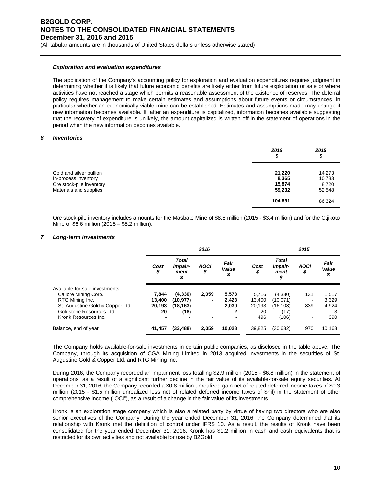(All tabular amounts are in thousands of United States dollars unless otherwise stated)

### *Exploration and evaluation expenditures*

The application of the Company's accounting policy for exploration and evaluation expenditures requires judgment in determining whether it is likely that future economic benefits are likely either from future exploitation or sale or where activities have not reached a stage which permits a reasonable assessment of the existence of reserves. The deferral policy requires management to make certain estimates and assumptions about future events or circumstances, in particular whether an economically viable mine can be established. Estimates and assumptions made may change if new information becomes available. If, after an expenditure is capitalized, information becomes available suggesting that the recovery of expenditure is unlikely, the amount capitalized is written off in the statement of operations in the period when the new information becomes available.

#### *6 Inventories*

|                                                                                                       | 2016<br>\$                          | 2015<br>\$                          |
|-------------------------------------------------------------------------------------------------------|-------------------------------------|-------------------------------------|
| Gold and silver bullion<br>In-process inventory<br>Ore stock-pile inventory<br>Materials and supplies | 21,220<br>8,365<br>15,874<br>59,232 | 14,273<br>10,783<br>8,720<br>52,548 |
|                                                                                                       | 104,691                             | 86,324                              |

Ore stock-pile inventory includes amounts for the Masbate Mine of \$8.8 million (2015 - \$3.4 million) and for the Otjikoto Mine of \$6.6 million (2015 – \$5.2 million).

### *7 Long-term investments*

|                                  | 2016       |                                       |                          | 2015                |           |                                 |                   |                     |
|----------------------------------|------------|---------------------------------------|--------------------------|---------------------|-----------|---------------------------------|-------------------|---------------------|
|                                  | Cost<br>\$ | <b>Total</b><br>Impair-<br>ment<br>\$ | <b>AOCI</b><br>\$        | Fair<br>Value<br>\$ | Cost<br>J | <b>Total</b><br>Impair-<br>ment | <b>AOCI</b><br>\$ | Fair<br>Value<br>\$ |
| Available-for-sale investments:  |            |                                       |                          |                     |           |                                 |                   |                     |
| Calibre Mining Corp.             | 7.844      | (4,330)                               | 2,059                    | 5,573               | 5.716     | (4,330)                         | 131               | 1,517               |
| RTG Mining Inc.                  | 13.400     | (10, 977)                             | $\overline{\phantom{0}}$ | 2.423               | 13.400    | (10,071)                        | -                 | 3,329               |
| St. Augustine Gold & Copper Ltd. | 20,193     | (18, 163)                             | $\overline{\phantom{0}}$ | 2.030               | 20,193    | (16, 108)                       | 839               | 4.924               |
| Goldstone Resources Ltd.         | 20         | (18)                                  | $\blacksquare$           | 2                   | 20        | (17)                            |                   |                     |
| Kronk Resources Inc.             | ۰          |                                       |                          | -                   | 496       | (106)                           | ۰                 | 390                 |
| Balance, end of year             | 41,457     | (33, 488)                             | 2.059                    | 10,028              | 39.825    | (30, 632)                       | 970               | 10,163              |

The Company holds available-for-sale investments in certain public companies, as disclosed in the table above. The Company, through its acquisition of CGA Mining Limited in 2013 acquired investments in the securities of St. Augustine Gold & Copper Ltd. and RTG Mining Inc.

During 2016, the Company recorded an impairment loss totalling \$2.9 million (2015 - \$6.8 million) in the statement of operations, as a result of a significant further decline in the fair value of its available-for-sale equity securities. At December 31, 2016, the Company recorded a \$0.8 million unrealized gain net of related deferred income taxes of \$0.3 million (2015 - \$1.5 million unrealized loss net of related deferred income taxes of \$nil) in the statement of other comprehensive income ("OCI"), as a result of a change in the fair value of its investments.

Kronk is an exploration stage company which is also a related party by virtue of having two directors who are also senior executives of the Company. During the year ended December 31, 2016, the Company determined that its relationship with Kronk met the definition of control under IFRS 10. As a result, the results of Kronk have been consolidated for the year ended December 31, 2016. Kronk has \$1.2 million in cash and cash equivalents that is restricted for its own activities and not available for use by B2Gold.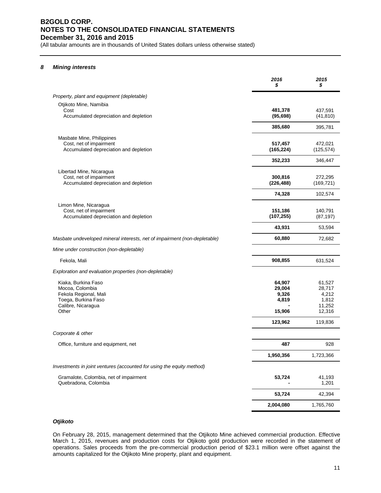(All tabular amounts are in thousands of United States dollars unless otherwise stated)

#### *8 Mining interests*

|                                                                                                                       | 2016<br>\$                                              | 2015<br>\$                                                        |
|-----------------------------------------------------------------------------------------------------------------------|---------------------------------------------------------|-------------------------------------------------------------------|
| Property, plant and equipment (depletable)                                                                            |                                                         |                                                                   |
| Otjikoto Mine, Namibia<br>Cost<br>Accumulated depreciation and depletion                                              | 481,378<br>(95, 698)                                    | 437,591<br>(41, 810)                                              |
|                                                                                                                       | 385,680                                                 | 395,781                                                           |
| Masbate Mine, Philippines<br>Cost, net of impairment<br>Accumulated depreciation and depletion                        | 517,457<br>(165, 224)                                   | 472,021<br>(125, 574)                                             |
|                                                                                                                       | 352,233                                                 | 346,447                                                           |
| Libertad Mine, Nicaragua<br>Cost, net of impairment<br>Accumulated depreciation and depletion                         | 300,816<br>(226, 488)                                   | 272,295<br>(169, 721)                                             |
|                                                                                                                       | 74,328                                                  | 102,574                                                           |
| Limon Mine, Nicaragua<br>Cost, net of impairment<br>Accumulated depreciation and depletion                            | 151,186<br>(107, 255)                                   | 140,791<br>(87, 197)                                              |
|                                                                                                                       | 43,931                                                  | 53,594                                                            |
| Masbate undeveloped mineral interests, net of impairment (non-depletable)                                             | 60,880                                                  | 72,682                                                            |
| Mine under construction (non-depletable)                                                                              |                                                         |                                                                   |
| Fekola, Mali                                                                                                          | 908,855                                                 | 631,524                                                           |
| Exploration and evaluation properties (non-depletable)                                                                |                                                         |                                                                   |
| Kiaka, Burkina Faso<br>Mocoa, Colombia<br>Fekola Regional, Mali<br>Toega, Burkina Faso<br>Calibre, Nicaragua<br>Other | 64,907<br>29,004<br>9,326<br>4,819<br>15,906<br>123,962 | 61,527<br>28,717<br>4,212<br>1,812<br>11,252<br>12,316<br>119,836 |
| Corporate & other                                                                                                     |                                                         |                                                                   |
|                                                                                                                       |                                                         |                                                                   |
| Office, furniture and equipment, net                                                                                  | 487<br>1,950,356                                        | 928<br>1,723,366                                                  |
| Investments in joint ventures (accounted for using the equity method)                                                 |                                                         |                                                                   |
| Gramalote, Colombia, net of impairment<br>Quebradona, Colombia                                                        | 53,724                                                  | 41,193<br>1,201                                                   |
|                                                                                                                       | 53,724                                                  | 42,394                                                            |
|                                                                                                                       | 2,004,080                                               | 1,765,760                                                         |

### *Otjikoto*

On February 28, 2015, management determined that the Otjikoto Mine achieved commercial production. Effective March 1, 2015, revenues and production costs for Otjikoto gold production were recorded in the statement of operations. Sales proceeds from the pre-commercial production period of \$23.1 million were offset against the amounts capitalized for the Otjikoto Mine property, plant and equipment.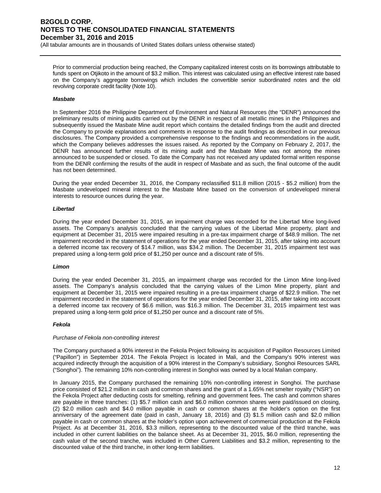(All tabular amounts are in thousands of United States dollars unless otherwise stated)

Prior to commercial production being reached, the Company capitalized interest costs on its borrowings attributable to funds spent on Otjikoto in the amount of \$3.2 million. This interest was calculated using an effective interest rate based on the Company's aggregate borrowings which includes the convertible senior subordinated notes and the old revolving corporate credit facility (Note 10).

### *Masbate*

In September 2016 the Philippine Department of Environment and Natural Resources (the "DENR") announced the preliminary results of mining audits carried out by the DENR in respect of all metallic mines in the Philippines and subsequently issued the Masbate Mine audit report which contains the detailed findings from the audit and directed the Company to provide explanations and comments in response to the audit findings as described in our previous disclosures. The Company provided a comprehensive response to the findings and recommendations in the audit, which the Company believes addresses the issues raised. As reported by the Company on February 2, 2017, the DENR has announced further results of its mining audit and the Masbate Mine was not among the mines announced to be suspended or closed. To date the Company has not received any updated formal written response from the DENR confirming the results of the audit in respect of Masbate and as such, the final outcome of the audit has not been determined.

During the year ended December 31, 2016, the Company reclassified \$11.8 million (2015 - \$5.2 million) from the Masbate undeveloped mineral interest to the Masbate Mine based on the conversion of undeveloped mineral interests to resource ounces during the year.

### *Libertad*

During the year ended December 31, 2015, an impairment charge was recorded for the Libertad Mine long-lived assets. The Company's analysis concluded that the carrying values of the Libertad Mine property, plant and equipment at December 31, 2015 were impaired resulting in a pre-tax impairment charge of \$48.9 million. The net impairment recorded in the statement of operations for the year ended December 31, 2015, after taking into account a deferred income tax recovery of \$14.7 million, was \$34.2 million. The December 31, 2015 impairment test was prepared using a long-term gold price of \$1,250 per ounce and a discount rate of 5%.

### *Limon*

During the year ended December 31, 2015, an impairment charge was recorded for the Limon Mine long-lived assets. The Company's analysis concluded that the carrying values of the Limon Mine property, plant and equipment at December 31, 2015 were impaired resulting in a pre-tax impairment charge of \$22.9 million. The net impairment recorded in the statement of operations for the year ended December 31, 2015, after taking into account a deferred income tax recovery of \$6.6 million, was \$16.3 million. The December 31, 2015 impairment test was prepared using a long-term gold price of \$1,250 per ounce and a discount rate of 5%.

### *Fekola*

### *Purchase of Fekola non-controlling interest*

The Company purchased a 90% interest in the Fekola Project following its acquisition of Papillon Resources Limited ("Papillon") in September 2014. The Fekola Project is located in Mali, and the Company's 90% interest was acquired indirectly through the acquisition of a 90% interest in the Company's subsidiary, Songhoi Resources SARL ("Songhoi"). The remaining 10% non-controlling interest in Songhoi was owned by a local Malian company.

In January 2015, the Company purchased the remaining 10% non-controlling interest in Songhoi. The purchase price consisted of \$21.2 million in cash and common shares and the grant of a 1.65% net smelter royalty ("NSR") on the Fekola Project after deducting costs for smelting, refining and government fees. The cash and common shares are payable in three tranches: (1) \$5.7 million cash and \$6.0 million common shares were paid/issued on closing, (2) \$2.0 million cash and \$4.0 million payable in cash or common shares at the holder's option on the first anniversary of the agreement date (paid in cash, January 18, 2016) and (3) \$1.5 million cash and \$2.0 million payable in cash or common shares at the holder's option upon achievement of commercial production at the Fekola Project. As at December 31, 2016, \$3.3 million, representing to the discounted value of the third tranche, was included in other current liabilities on the balance sheet. As at December 31, 2015, \$6.0 million, representing the cash value of the second tranche, was included in Other Current Liabilities and \$3.2 million, representing to the discounted value of the third tranche, in other long-term liabilities.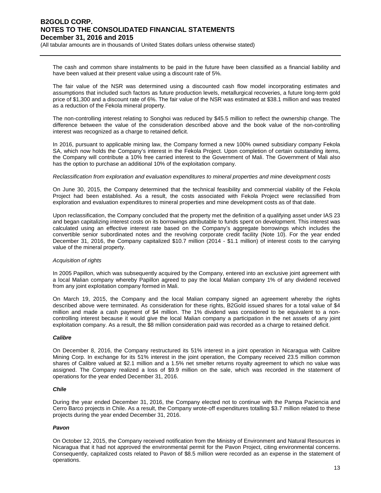(All tabular amounts are in thousands of United States dollars unless otherwise stated)

The cash and common share instalments to be paid in the future have been classified as a financial liability and have been valued at their present value using a discount rate of 5%.

The fair value of the NSR was determined using a discounted cash flow model incorporating estimates and assumptions that included such factors as future production levels, metallurgical recoveries, a future long-term gold price of \$1,300 and a discount rate of 6%. The fair value of the NSR was estimated at \$38.1 million and was treated as a reduction of the Fekola mineral property.

The non-controlling interest relating to Songhoi was reduced by \$45.5 million to reflect the ownership change. The difference between the value of the consideration described above and the book value of the non-controlling interest was recognized as a charge to retained deficit.

In 2016, pursuant to applicable mining law, the Company formed a new 100% owned subsidiary company Fekola SA, which now holds the Company's interest in the Fekola Project. Upon completion of certain outstanding items, the Company will contribute a 10% free carried interest to the Government of Mali. The Government of Mali also has the option to purchase an additional 10% of the exploitation company.

### *Reclassification from exploration and evaluation expenditures to mineral properties and mine development costs*

On June 30, 2015, the Company determined that the technical feasibility and commercial viability of the Fekola Project had been established. As a result, the costs associated with Fekola Project were reclassified from exploration and evaluation expenditures to mineral properties and mine development costs as of that date.

Upon reclassification, the Company concluded that the property met the definition of a qualifying asset under IAS 23 and began capitalizing interest costs on its borrowings attributable to funds spent on development. This interest was calculated using an effective interest rate based on the Company's aggregate borrowings which includes the convertible senior subordinated notes and the revolving corporate credit facility (Note 10). For the year ended December 31, 2016, the Company capitalized \$10.7 million (2014 - \$1.1 million) of interest costs to the carrying value of the mineral property.

### *Acquisition of rights*

In 2005 Papillon, which was subsequently acquired by the Company, entered into an exclusive joint agreement with a local Malian company whereby Papillon agreed to pay the local Malian company 1% of any dividend received from any joint exploitation company formed in Mali.

On March 19, 2015, the Company and the local Malian company signed an agreement whereby the rights described above were terminated. As consideration for these rights, B2Gold issued shares for a total value of \$4 million and made a cash payment of \$4 million. The 1% dividend was considered to be equivalent to a noncontrolling interest because it would give the local Malian company a participation in the net assets of any joint exploitation company. As a result, the \$8 million consideration paid was recorded as a charge to retained deficit.

### *Calibre*

On December 8, 2016, the Company restructured its 51% interest in a joint operation in Nicaragua with Calibre Mining Corp. In exchange for its 51% interest in the joint operation, the Company received 23.5 million common shares of Calibre valued at \$2.1 million and a 1.5% net smelter returns royalty agreement to which no value was assigned. The Company realized a loss of \$9.9 million on the sale, which was recorded in the statement of operations for the year ended December 31, 2016.

### *Chile*

During the year ended December 31, 2016, the Company elected not to continue with the Pampa Paciencia and Cerro Barco projects in Chile. As a result, the Company wrote-off expenditures totalling \$3.7 million related to these projects during the year ended December 31, 2016.

### *Pavon*

On October 12, 2015, the Company received notification from the Ministry of Environment and Natural Resources in Nicaragua that it had not approved the environmental permit for the Pavon Project, citing environmental concerns. Consequently, capitalized costs related to Pavon of \$8.5 million were recorded as an expense in the statement of operations.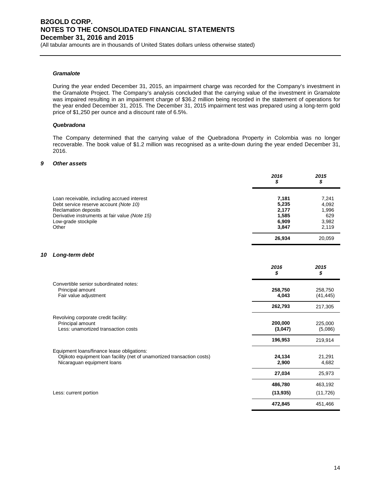(All tabular amounts are in thousands of United States dollars unless otherwise stated)

### *Gramalote*

During the year ended December 31, 2015, an impairment charge was recorded for the Company's investment in the Gramalote Project. The Company's analysis concluded that the carrying value of the investment in Gramalote was impaired resulting in an impairment charge of \$36.2 million being recorded in the statement of operations for the year ended December 31, 2015. The December 31, 2015 impairment test was prepared using a long-term gold price of \$1,250 per ounce and a discount rate of 6.5%.

### *Quebradona*

The Company determined that the carrying value of the Quebradona Property in Colombia was no longer recoverable. The book value of \$1.2 million was recognised as a write-down during the year ended December 31, 2016.

### *9 Other assets*

|                                                                                                                                                                                                 | 2016<br>\$                                         | 2015<br>\$                                       |
|-------------------------------------------------------------------------------------------------------------------------------------------------------------------------------------------------|----------------------------------------------------|--------------------------------------------------|
| Loan receivable, including accrued interest<br>Debt service reserve account (Note 10)<br>Reclamation deposits<br>Derivative instruments at fair value (Note 15)<br>Low-grade stockpile<br>Other | 7,181<br>5,235<br>2,177<br>1,585<br>6,909<br>3.847 | 7,241<br>4,092<br>1,996<br>629<br>3,982<br>2,119 |
|                                                                                                                                                                                                 | 26,934                                             | 20,059                                           |

#### *10 Long-term debt*

|                                                                                                                                                     | 2016<br>S          | 2015<br>S            |
|-----------------------------------------------------------------------------------------------------------------------------------------------------|--------------------|----------------------|
| Convertible senior subordinated notes:<br>Principal amount<br>Fair value adjustment                                                                 | 258,750<br>4,043   | 258,750<br>(41, 445) |
|                                                                                                                                                     | 262,793            | 217,305              |
| Revolving corporate credit facility:<br>Principal amount<br>Less: unamortized transaction costs                                                     | 200,000<br>(3,047) | 225,000<br>(5,086)   |
|                                                                                                                                                     | 196,953            | 219,914              |
| Equipment loans/finance lease obligations:<br>Otjikoto equipment loan facility (net of unamortized transaction costs)<br>Nicaraguan equipment loans | 24,134<br>2,900    | 21,291<br>4,682      |
|                                                                                                                                                     | 27,034             | 25,973               |
|                                                                                                                                                     | 486,780            | 463,192              |
| Less: current portion                                                                                                                               | (13, 935)          | (11, 726)            |
|                                                                                                                                                     | 472,845            | 451,466              |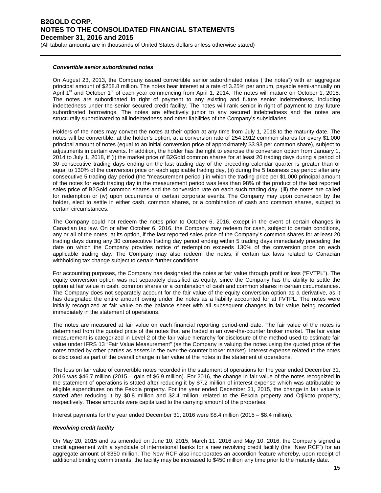(All tabular amounts are in thousands of United States dollars unless otherwise stated)

### *Convertible senior subordinated notes*

On August 23, 2013, the Company issued convertible senior subordinated notes ("the notes") with an aggregate principal amount of \$258.8 million. The notes bear interest at a rate of 3.25% per annum, payable semi-annually on April 1<sup>st</sup> and October 1<sup>st</sup> of each year commencing from April 1, 2014. The notes will mature on October 1, 2018. The notes are subordinated in right of payment to any existing and future senior indebtedness, including indebtedness under the senior secured credit facility. The notes will rank senior in right of payment to any future subordinated borrowings. The notes are effectively junior to any secured indebtedness and the notes are structurally subordinated to all indebtedness and other liabilities of the Company's subsidiaries.

Holders of the notes may convert the notes at their option at any time from July 1, 2018 to the maturity date. The notes will be convertible, at the holder's option, at a conversion rate of 254.2912 common shares for every \$1,000 principal amount of notes (equal to an initial conversion price of approximately \$3.93 per common share), subject to adjustments in certain events. In addition, the holder has the right to exercise the conversion option from January 1, 2014 to July 1, 2018, if (i) the market price of B2Gold common shares for at least 20 trading days during a period of 30 consecutive trading days ending on the last trading day of the preceding calendar quarter is greater than or equal to 130% of the conversion price on each applicable trading day, (ii) during the 5 business day period after any consecutive 5 trading day period (the "measurement period") in which the trading price per \$1,000 principal amount of the notes for each trading day in the measurement period was less than 98% of the product of the last reported sales price of B2Gold common shares and the conversion rate on each such trading day, (iii) the notes are called for redemption or (iv) upon occurrence of certain corporate events. The Company may upon conversion by the holder, elect to settle in either cash, common shares, or a combination of cash and common shares, subject to certain circumstances.

The Company could not redeem the notes prior to October 6, 2016, except in the event of certain changes in Canadian tax law. On or after October 6, 2016, the Company may redeem for cash, subject to certain conditions, any or all of the notes, at its option, if the last reported sales price of the Company's common shares for at least 20 trading days during any 30 consecutive trading day period ending within 5 trading days immediately preceding the date on which the Company provides notice of redemption exceeds 130% of the conversion price on each applicable trading day. The Company may also redeem the notes, if certain tax laws related to Canadian withholding tax change subject to certain further conditions.

For accounting purposes, the Company has designated the notes at fair value through profit or loss ("FVTPL"). The equity conversion option was not separately classified as equity, since the Company has the ability to settle the option at fair value in cash, common shares or a combination of cash and common shares in certain circumstances. The Company does not separately account for the fair value of the equity conversion option as a derivative, as it has designated the entire amount owing under the notes as a liability accounted for at FVTPL. The notes were initially recognized at fair value on the balance sheet with all subsequent changes in fair value being recorded immediately in the statement of operations.

The notes are measured at fair value on each financial reporting period-end date. The fair value of the notes is determined from the quoted price of the notes that are traded in an over-the-counter broker market. The fair value measurement is categorized in Level 2 of the fair value hierarchy for disclosure of the method used to estimate fair value under IFRS 13 "Fair Value Measurement" (as the Company is valuing the notes using the quoted price of the notes traded by other parties as assets in the over-the-counter broker market). Interest expense related to the notes is disclosed as part of the overall change in fair value of the notes in the statement of operations.

The loss on fair value of convertible notes recorded in the statement of operations for the year ended December 31, 2016 was \$46.7 million (2015 – gain of \$6.9 million). For 2016, the change in fair value of the notes recognized in the statement of operations is stated after reducing it by \$7.2 million of interest expense which was attributable to eligible expenditures on the Fekola property. For the year ended December 31, 2015, the change in fair value is stated after reducing it by \$0.8 million and \$2.4 million, related to the Fekola property and Otjikoto property, respectively. These amounts were capitalized to the carrying amount of the properties.

Interest payments for the year ended December 31, 2016 were \$8.4 million (2015 – \$8.4 million).

### *Revolving credit facility*

On May 20, 2015 and as amended on June 10, 2015, March 11, 2016 and May 10, 2016, the Company signed a credit agreement with a syndicate of international banks for a new revolving credit facility (the "New RCF") for an aggregate amount of \$350 million. The New RCF also incorporates an accordion feature whereby, upon receipt of additional binding commitments, the facility may be increased to \$450 million any time prior to the maturity date.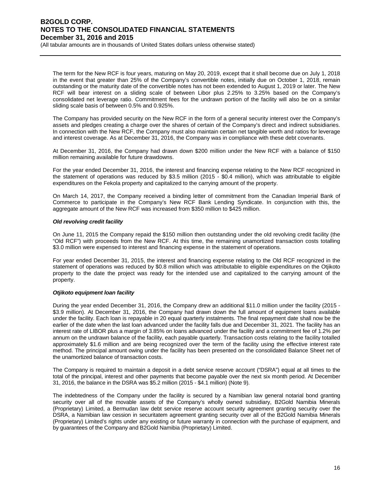(All tabular amounts are in thousands of United States dollars unless otherwise stated)

The term for the New RCF is four years, maturing on May 20, 2019, except that it shall become due on July 1, 2018 in the event that greater than 25% of the Company's convertible notes, initially due on October 1, 2018, remain outstanding or the maturity date of the convertible notes has not been extended to August 1, 2019 or later. The New RCF will bear interest on a sliding scale of between Libor plus 2.25% to 3.25% based on the Company's consolidated net leverage ratio. Commitment fees for the undrawn portion of the facility will also be on a similar sliding scale basis of between 0.5% and 0.925%.

The Company has provided security on the New RCF in the form of a general security interest over the Company's assets and pledges creating a charge over the shares of certain of the Company's direct and indirect subsidiaries. In connection with the New RCF, the Company must also maintain certain net tangible worth and ratios for leverage and interest coverage. As at December 31, 2016, the Company was in compliance with these debt covenants.

At December 31, 2016, the Company had drawn down \$200 million under the New RCF with a balance of \$150 million remaining available for future drawdowns.

For the year ended December 31, 2016, the interest and financing expense relating to the New RCF recognized in the statement of operations was reduced by \$3.5 million (2015 - \$0.4 million), which was attributable to eligible expenditures on the Fekola property and capitalized to the carrying amount of the property.

On March 14, 2017, the Company received a binding letter of commitment from the Canadian Imperial Bank of Commerce to participate in the Company's New RCF Bank Lending Syndicate. In conjunction with this, the aggregate amount of the New RCF was increased from \$350 million to \$425 million.

### *Old revolving credit facility*

On June 11, 2015 the Company repaid the \$150 million then outstanding under the old revolving credit facility (the "Old RCF") with proceeds from the New RCF. At this time, the remaining unamortized transaction costs totalling \$3.0 million were expensed to interest and financing expense in the statement of operations.

For year ended December 31, 2015, the interest and financing expense relating to the Old RCF recognized in the statement of operations was reduced by \$0.8 million which was attributable to eligible expenditures on the Otjikoto property to the date the project was ready for the intended use and capitalized to the carrying amount of the property.

### *Otjikoto equipment loan facility*

During the year ended December 31, 2016, the Company drew an additional \$11.0 million under the facility (2015 - \$3.9 million). At December 31, 2016, the Company had drawn down the full amount of equipment loans available under the facility. Each loan is repayable in 20 equal quarterly instalments. The final repayment date shall now be the earlier of the date when the last loan advanced under the facility falls due and December 31, 2021. The facility has an interest rate of LIBOR plus a margin of 3.85% on loans advanced under the facility and a commitment fee of 1.2% per annum on the undrawn balance of the facility, each payable quarterly. Transaction costs relating to the facility totalled approximately \$1.6 million and are being recognized over the term of the facility using the effective interest rate method. The principal amount owing under the facility has been presented on the consolidated Balance Sheet net of the unamortized balance of transaction costs.

The Company is required to maintain a deposit in a debt service reserve account ("DSRA") equal at all times to the total of the principal, interest and other payments that become payable over the next six month period. At December 31, 2016, the balance in the DSRA was \$5.2 million (2015 - \$4.1 million) (Note 9).

The indebtedness of the Company under the facility is secured by a Namibian law general notarial bond granting security over all of the movable assets of the Company's wholly owned subsidiary, B2Gold Namibia Minerals (Proprietary) Limited, a Bermudan law debt service reserve account security agreement granting security over the DSRA, a Namibian law cession in securitatem agreement granting security over all of the B2Gold Namibia Minerals (Proprietary) Limited's rights under any existing or future warranty in connection with the purchase of equipment, and by guarantees of the Company and B2Gold Namibia (Proprietary) Limited.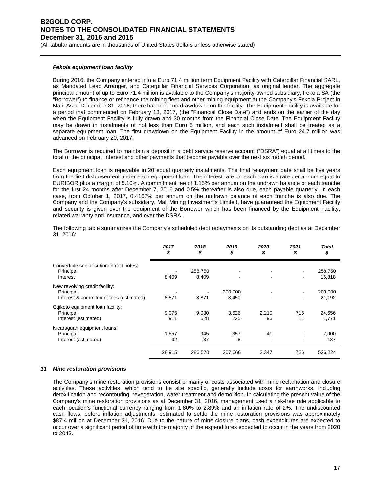(All tabular amounts are in thousands of United States dollars unless otherwise stated)

### *Fekola equipment loan facility*

During 2016, the Company entered into a Euro 71.4 million term Equipment Facility with Caterpillar Financial SARL, as Mandated Lead Arranger, and Caterpillar Financial Services Corporation, as original lender. The aggregate principal amount of up to Euro 71.4 million is available to the Company's majority-owned subsidiary, Fekola SA (the "Borrower") to finance or refinance the mining fleet and other mining equipment at the Company's Fekola Project in Mali. As at December 31, 2016, there had been no drawdowns on the facility. The Equipment Facility is available for a period that commenced on February 13, 2017, (the "Financial Close Date") and ends on the earlier of the day when the Equipment Facility is fully drawn and 30 months from the Financial Close Date. The Equipment Facility may be drawn in instalments of not less than Euro 5 million, and each such instalment shall be treated as a separate equipment loan. The first drawdown on the Equipment Facility in the amount of Euro 24.7 million was advanced on February 20, 2017.

The Borrower is required to maintain a deposit in a debt service reserve account ("DSRA") equal at all times to the total of the principal, interest and other payments that become payable over the next six month period.

Each equipment loan is repayable in 20 equal quarterly instalments. The final repayment date shall be five years from the first disbursement under each equipment loan. The interest rate on each loan is a rate per annum equal to EURIBOR plus a margin of 5.10%. A commitment fee of 1.15% per annum on the undrawn balance of each tranche for the first 24 months after December 7, 2016 and 0.5% thereafter is also due, each payable quarterly. In each case, from October 1, 2017, 0.4167% per annum on the undrawn balance of each tranche is also due. The Company and the Company's subsidiary, Mali Mining Investments Limited, have guaranteed the Equipment Facility and security is given over the equipment of the Borrower which has been financed by the Equipment Facility, related warranty and insurance, and over the DSRA.

The following table summarizes the Company's scheduled debt repayments on its outstanding debt as at December 31, 2016:

|                                                                                       | 2017<br>\$   | 2018<br>\$       | 2019<br>\$       | 2020<br>\$  | 2021<br>\$     | Total<br>\$       |
|---------------------------------------------------------------------------------------|--------------|------------------|------------------|-------------|----------------|-------------------|
| Convertible senior subordinated notes:<br>Principal<br>Interest                       | 8,409        | 258,750<br>8,409 |                  |             | $\blacksquare$ | 258,750<br>16,818 |
| New revolving credit facility:<br>Principal<br>Interest & commitment fees (estimated) | 8,871        | 8,871            | 200,000<br>3,450 |             | $\blacksquare$ | 200,000<br>21,192 |
| Otjikoto equipment loan facility:<br>Principal<br>Interest (estimated)                | 9,075<br>911 | 9,030<br>528     | 3,626<br>225     | 2,210<br>96 | 715<br>11      | 24,656<br>1,771   |
| Nicaraguan equipment loans:<br>Principal<br>Interest (estimated)                      | 1,557<br>92  | 945<br>37        | 357<br>8         | 41          | $\blacksquare$ | 2,900<br>137      |
|                                                                                       | 28,915       | 286,570          | 207,666          | 2,347       | 726            | 526,224           |

### *11 Mine restoration provisions*

The Company's mine restoration provisions consist primarily of costs associated with mine reclamation and closure activities. These activities, which tend to be site specific, generally include costs for earthworks, including detoxification and recontouring, revegetation, water treatment and demolition. In calculating the present value of the Company's mine restoration provisions as at December 31, 2016, management used a risk-free rate applicable to each location's functional currency ranging from 1.80% to 2.89% and an inflation rate of 2%. The undiscounted cash flows, before inflation adjustments, estimated to settle the mine restoration provisions was approximately \$87.4 million at December 31, 2016. Due to the nature of mine closure plans, cash expenditures are expected to occur over a significant period of time with the majority of the expenditures expected to occur in the years from 2020 to 2043.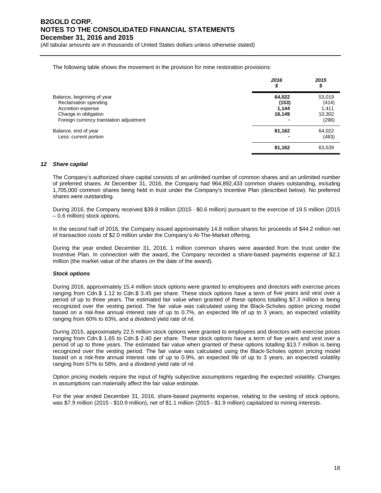(All tabular amounts are in thousands of United States dollars unless otherwise stated)

The following table shows the movement in the provision for mine restoration provisions:

|                                                                                                                                            | 2016<br>\$                              | 2015<br>\$                                  |
|--------------------------------------------------------------------------------------------------------------------------------------------|-----------------------------------------|---------------------------------------------|
| Balance, beginning of year<br>Reclamation spending<br>Accretion expense<br>Change in obligation<br>Foreign currency translation adjustment | 64,022<br>(153)<br>1,144<br>16,149<br>- | 53,019<br>(414)<br>1,411<br>10,302<br>(296) |
| Balance, end of year<br>Less: current portion                                                                                              | 81,162                                  | 64,022<br>(483)                             |
|                                                                                                                                            | 81,162                                  | 63,539                                      |

### *12 Share capital*

The Company's authorized share capital consists of an unlimited number of common shares and an unlimited number of preferred shares. At December 31, 2016, the Company had 964,892,433 common shares outstanding, including 1,705,000 common shares being held in trust under the Company's Incentive Plan (described below). No preferred shares were outstanding.

During 2016, the Company received \$39.8 million (2015 - \$0.6 million) pursuant to the exercise of 19.5 million (2015 – 0.6 million) stock options.

In the second half of 2016, the Company issued approximately 14.8 million shares for proceeds of \$44.2 million net of transaction costs of \$2.0 million under the Company's At-The-Market offering.

During the year ended December 31, 2016, 1 million common shares were awarded from the trust under the Incentive Plan. In connection with the award, the Company recorded a share-based payments expense of \$2.1 million (the market value of the shares on the date of the award).

### *Stock options*

During 2016, approximately 15.4 million stock options were granted to employees and directors with exercise prices ranging from Cdn.\$ 1.12 to Cdn.\$ 3.45 per share. These stock options have a term of five years and vest over a period of up to three years. The estimated fair value when granted of these options totalling \$7.3 million is being recognized over the vesting period. The fair value was calculated using the Black-Scholes option pricing model based on a risk-free annual interest rate of up to 0.7%, an expected life of up to 3 years, an expected volatility ranging from 60% to 63%, and a dividend yield rate of nil.

During 2015, approximately 22.5 million stock options were granted to employees and directors with exercise prices ranging from Cdn.\$ 1.65 to Cdn.\$ 2.40 per share. These stock options have a term of five years and vest over a period of up to three years. The estimated fair value when granted of these options totalling \$13.7 million is being recognized over the vesting period. The fair value was calculated using the Black-Scholes option pricing model based on a risk-free annual interest rate of up to 0.9%, an expected life of up to 3 years, an expected volatility ranging from 57% to 58%, and a dividend yield rate of nil.

Option pricing models require the input of highly subjective assumptions regarding the expected volatility. Changes in assumptions can materially affect the fair value estimate.

For the year ended December 31, 2016, share-based payments expense, relating to the vesting of stock options, was \$7.9 million (2015 - \$10.9 million), net of \$1.1 million (2015 - \$1.9 million) capitalized to mining interests.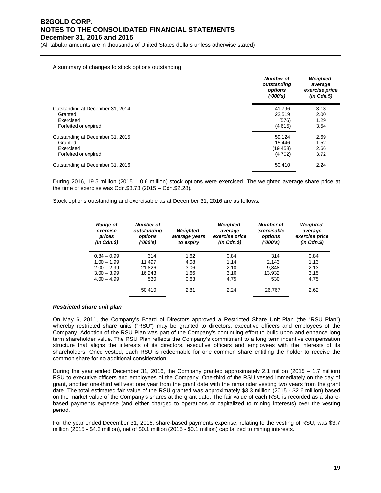(All tabular amounts are in thousands of United States dollars unless otherwise stated)

#### A summary of changes to stock options outstanding:

|                                  | <b>Number of</b><br>outstanding<br>options<br>(1000's) | <b>Weighted-</b><br>average<br>exercise price<br>$(in$ $Cdn.$ \$) |
|----------------------------------|--------------------------------------------------------|-------------------------------------------------------------------|
| Outstanding at December 31, 2014 | 41.796                                                 | 3.13                                                              |
| Granted                          | 22.519                                                 | 2.00                                                              |
| Exercised                        | (576)                                                  | 1.29                                                              |
| Forfeited or expired             | (4,615)                                                | 3.54                                                              |
| Outstanding at December 31, 2015 | 59,124                                                 | 2.69                                                              |
| Granted                          | 15.446                                                 | 1.52                                                              |
| Exercised                        | (19, 458)                                              | 2.66                                                              |
| Forfeited or expired             | (4,702)                                                | 3.72                                                              |
| Outstanding at December 31, 2016 | 50,410                                                 | 2.24                                                              |

During 2016, 19.5 million (2015 – 0.6 million) stock options were exercised. The weighted average share price at the time of exercise was Cdn.\$3.73 (2015 – Cdn.\$2.28).

Stock options outstanding and exercisable as at December 31, 2016 are as follows:

| <b>Range of</b><br>exercise<br>prices<br>$(in$ $Cdn.S)$ | Number of<br>outstanding<br>options<br>('000's) | <b>Weighted-</b><br>average years<br>to expiry | <b>Weighted-</b><br>average<br>exercise price<br>$(in$ $Cdn.S)$ | Number of<br>exercisable<br>options<br>('000's) | <b>Weighted-</b><br>average<br>exercise price<br>$(in$ $Cdn.S)$ |
|---------------------------------------------------------|-------------------------------------------------|------------------------------------------------|-----------------------------------------------------------------|-------------------------------------------------|-----------------------------------------------------------------|
| $0.84 - 0.99$                                           | 314                                             | 1.62                                           | 0.84                                                            | 314                                             | 0.84                                                            |
| $1.00 - 1.99$                                           | 11.497                                          | 4.08                                           | 1.14                                                            | 2.143                                           | 1.13                                                            |
| $2.00 - 2.99$                                           | 21,826                                          | 3.06                                           | 2.10                                                            | 9.848                                           | 2.13                                                            |
| $3.00 - 3.99$                                           | 16.243                                          | 1.66                                           | 3.16                                                            | 13.932                                          | 3.15                                                            |
| $4.00 - 4.99$                                           | 530                                             | 0.63                                           | 4.75                                                            | 530                                             | 4.75                                                            |
|                                                         | 50,410                                          | 2.81                                           | 2.24                                                            | 26,767                                          | 2.62                                                            |

#### *Restricted share unit plan*

On May 6, 2011, the Company's Board of Directors approved a Restricted Share Unit Plan (the "RSU Plan") whereby restricted share units ("RSU") may be granted to directors, executive officers and employees of the Company. Adoption of the RSU Plan was part of the Company's continuing effort to build upon and enhance long term shareholder value. The RSU Plan reflects the Company's commitment to a long term incentive compensation structure that aligns the interests of its directors, executive officers and employees with the interests of its shareholders. Once vested, each RSU is redeemable for one common share entitling the holder to receive the common share for no additional consideration.

During the year ended December 31, 2016, the Company granted approximately 2.1 million (2015 – 1.7 million) RSU to executive officers and employees of the Company. One-third of the RSU vested immediately on the day of grant, another one-third will vest one year from the grant date with the remainder vesting two years from the grant date. The total estimated fair value of the RSU granted was approximately \$3.3 million (2015 - \$2.6 million) based on the market value of the Company's shares at the grant date. The fair value of each RSU is recorded as a sharebased payments expense (and either charged to operations or capitalized to mining interests) over the vesting period.

For the year ended December 31, 2016, share-based payments expense, relating to the vesting of RSU, was \$3.7 million (2015 - \$4.3 million), net of \$0.1 million (2015 - \$0.1 million) capitalized to mining interests.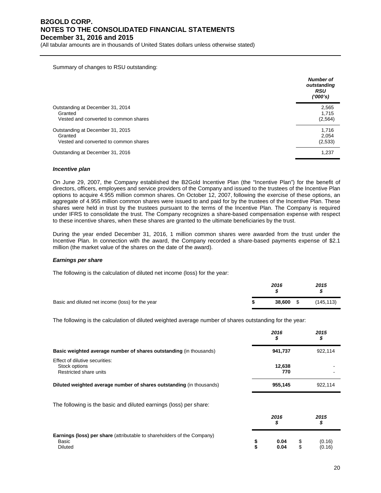(All tabular amounts are in thousands of United States dollars unless otherwise stated)

Summary of changes to RSU outstanding:

|                                       | <b>Number of</b><br>outstanding<br><b>RSU</b><br>('000's) |
|---------------------------------------|-----------------------------------------------------------|
| Outstanding at December 31, 2014      | 2,565                                                     |
| Granted                               | 1,715                                                     |
| Vested and converted to common shares | (2, 564)                                                  |
| Outstanding at December 31, 2015      | 1,716                                                     |
| Granted                               | 2,054                                                     |
| Vested and converted to common shares | (2,533)                                                   |
| Outstanding at December 31, 2016      | 1,237                                                     |

#### *Incentive plan*

On June 29, 2007, the Company established the B2Gold Incentive Plan (the "Incentive Plan") for the benefit of directors, officers, employees and service providers of the Company and issued to the trustees of the Incentive Plan options to acquire 4.955 million common shares. On October 12, 2007, following the exercise of these options, an aggregate of 4.955 million common shares were issued to and paid for by the trustees of the Incentive Plan. These shares were held in trust by the trustees pursuant to the terms of the Incentive Plan. The Company is required under IFRS to consolidate the trust. The Company recognizes a share-based compensation expense with respect to these incentive shares, when these shares are granted to the ultimate beneficiaries by the trust.

During the year ended December 31, 2016, 1 million common shares were awarded from the trust under the Incentive Plan. In connection with the award, the Company recorded a share-based payments expense of \$2.1 million (the market value of the shares on the date of the award).

#### *Earnings per share*

The following is the calculation of diluted net income (loss) for the year:

|                                                  | 2016 |           | 2015       |  |
|--------------------------------------------------|------|-----------|------------|--|
| Basic and diluted net income (loss) for the year |      | 38,600 \$ | (145, 113) |  |

The following is the calculation of diluted weighted average number of shares outstanding for the year:

|                                                                                                           |          | 2016<br>\$    |          | 2015<br>\$       |  |
|-----------------------------------------------------------------------------------------------------------|----------|---------------|----------|------------------|--|
| Basic weighted average number of shares outstanding (in thousands)                                        |          | 941,737       |          | 922,114          |  |
| Effect of dilutive securities:<br>Stock options<br>Restricted share units                                 |          | 12,638<br>770 |          |                  |  |
| Diluted weighted average number of shares outstanding (in thousands)                                      |          | 955,145       |          | 922,114          |  |
| The following is the basic and diluted earnings (loss) per share:                                         |          | 2016          |          | 2015             |  |
|                                                                                                           |          | \$            |          | \$               |  |
| <b>Earnings (loss) per share</b> (attributable to shareholders of the Company)<br>Basic<br><b>Diluted</b> | \$<br>\$ | 0.04<br>0.04  | \$<br>\$ | (0.16)<br>(0.16) |  |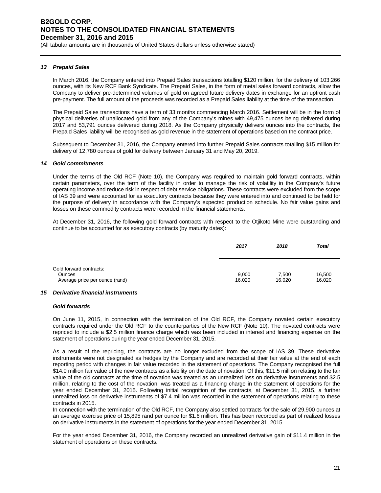(All tabular amounts are in thousands of United States dollars unless otherwise stated)

### *13 Prepaid Sales*

In March 2016, the Company entered into Prepaid Sales transactions totalling \$120 million, for the delivery of 103,266 ounces, with its New RCF Bank Syndicate. The Prepaid Sales, in the form of metal sales forward contracts, allow the Company to deliver pre-determined volumes of gold on agreed future delivery dates in exchange for an upfront cash pre-payment. The full amount of the proceeds was recorded as a Prepaid Sales liability at the time of the transaction.

The Prepaid Sales transactions have a term of 33 months commencing March 2016. Settlement will be in the form of physical deliveries of unallocated gold from any of the Company's mines with 49,475 ounces being delivered during 2017 and 53,791 ounces delivered during 2018. As the Company physically delivers ounces into the contracts, the Prepaid Sales liability will be recognised as gold revenue in the statement of operations based on the contract price.

Subsequent to December 31, 2016, the Company entered into further Prepaid Sales contracts totalling \$15 million for delivery of 12,780 ounces of gold for delivery between January 31 and May 20, 2019.

### *14 Gold commitments*

Under the terms of the Old RCF (Note 10), the Company was required to maintain gold forward contracts, within certain parameters, over the term of the facility in order to manage the risk of volatility in the Company's future operating income and reduce risk in respect of debt service obligations. These contracts were excluded from the scope of IAS 39 and were accounted for as executory contracts because they were entered into and continued to be held for the purpose of delivery in accordance with the Company's expected production schedule. No fair value gains and losses on these commodity contracts were recorded in the financial statements.

At December 31, 2016, the following gold forward contracts with respect to the Otjikoto Mine were outstanding and continue to be accounted for as executory contracts (by maturity dates):

|                                                                            | 2017            | 2018            | <b>Total</b>     |
|----------------------------------------------------------------------------|-----------------|-----------------|------------------|
| Gold forward contracts:<br><b>Ounces</b><br>Average price per ounce (rand) | 9,000<br>16,020 | 7.500<br>16,020 | 16,500<br>16,020 |

### *15 Derivative financial instruments*

### *Gold forwards*

On June 11, 2015, in connection with the termination of the Old RCF, the Company novated certain executory contracts required under the Old RCF to the counterparties of the New RCF (Note 10). The novated contracts were repriced to include a \$2.5 million finance charge which was been included in interest and financing expense on the statement of operations during the year ended December 31, 2015.

As a result of the repricing, the contracts are no longer excluded from the scope of IAS 39. These derivative instruments were not designated as hedges by the Company and are recorded at their fair value at the end of each reporting period with changes in fair value recorded in the statement of operations. The Company recognised the full \$14.0 million fair value of the new contracts as a liability on the date of novation. Of this, \$11.5 million relating to the fair value of the old contracts at the time of novation was treated as an unrealized loss on derivative instruments and \$2.5 million, relating to the cost of the novation, was treated as a financing charge in the statement of operations for the year ended December 31, 2015. Following initial recognition of the contracts, at December 31, 2015, a further unrealized loss on derivative instruments of \$7.4 million was recorded in the statement of operations relating to these contracts in 2015.

In connection with the termination of the Old RCF, the Company also settled contracts for the sale of 29,900 ounces at an average exercise price of 15,895 rand per ounce for \$1.6 million. This has been recorded as part of realized losses on derivative instruments in the statement of operations for the year ended December 31, 2015.

For the year ended December 31, 2016, the Company recorded an unrealized derivative gain of \$11.4 million in the statement of operations on these contracts.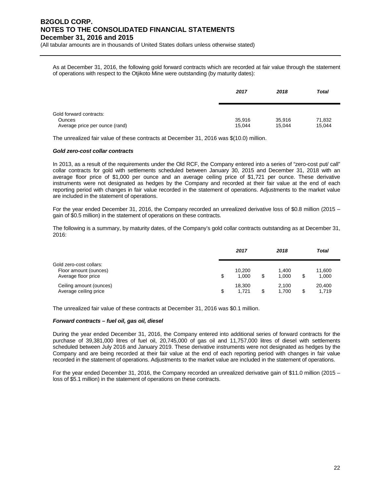(All tabular amounts are in thousands of United States dollars unless otherwise stated)

As at December 31, 2016, the following gold forward contracts which are recorded at fair value through the statement of operations with respect to the Otjikoto Mine were outstanding (by maturity dates):

|                                                                            | 2017             | 2018             | <b>Total</b>     |
|----------------------------------------------------------------------------|------------------|------------------|------------------|
| Gold forward contracts:<br><b>Ounces</b><br>Average price per ounce (rand) | 35,916<br>15,044 | 35,916<br>15.044 | 71,832<br>15,044 |

The unrealized fair value of these contracts at December 31, 2016 was \$(10.0) million.

### *Gold zero-cost collar contracts*

In 2013, as a result of the requirements under the Old RCF, the Company entered into a series of "zero-cost put/ call" collar contracts for gold with settlements scheduled between January 30, 2015 and December 31, 2018 with an average floor price of \$1,000 per ounce and an average ceiling price of \$1,721 per ounce. These derivative instruments were not designated as hedges by the Company and recorded at their fair value at the end of each reporting period with changes in fair value recorded in the statement of operations. Adjustments to the market value are included in the statement of operations.

For the year ended December 31, 2016, the Company recorded an unrealized derivative loss of \$0.8 million (2015 – gain of \$0.5 million) in the statement of operations on these contracts.

The following is a summary, by maturity dates, of the Company's gold collar contracts outstanding as at December 31, 2016:

|                                                                         | 2017                  | 2018                 |   | <b>Total</b>    |  |
|-------------------------------------------------------------------------|-----------------------|----------------------|---|-----------------|--|
| Gold zero-cost collars:<br>Floor amount (ounces)<br>Average floor price | \$<br>10,200<br>1.000 | \$<br>1.400<br>1.000 | S | 11,600<br>1,000 |  |
| Ceiling amount (ounces)<br>Average ceiling price                        | \$<br>18.300<br>1.721 | \$<br>2.100<br>1,700 |   | 20,400<br>1,719 |  |

The unrealized fair value of these contracts at December 31, 2016 was \$0.1 million.

### *Forward contracts – fuel oil, gas oil, diesel*

During the year ended December 31, 2016, the Company entered into additional series of forward contracts for the purchase of 39,381,000 litres of fuel oil, 20,745,000 of gas oil and 11,757,000 litres of diesel with settlements scheduled between July 2016 and January 2019. These derivative instruments were not designated as hedges by the Company and are being recorded at their fair value at the end of each reporting period with changes in fair value recorded in the statement of operations. Adjustments to the market value are included in the statement of operations.

For the year ended December 31, 2016, the Company recorded an unrealized derivative gain of \$11.0 million (2015 – loss of \$5.1 million) in the statement of operations on these contracts.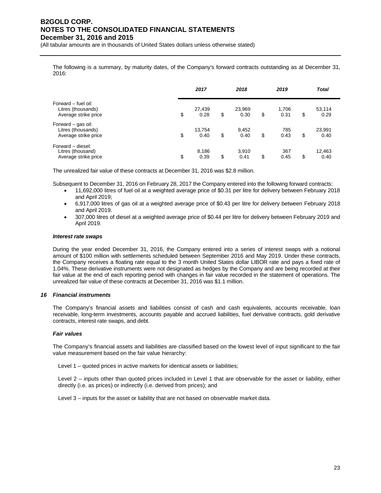(All tabular amounts are in thousands of United States dollars unless otherwise stated)

The following is a summary, by maturity dates, of the Company's forward contracts outstanding as at December 31, 2016:

|                                                                   | 2017                 | 2018                 | 2019                |    | <b>Total</b>   |  |
|-------------------------------------------------------------------|----------------------|----------------------|---------------------|----|----------------|--|
| Forward - fuel oil:<br>Litres (thousands)<br>Average strike price | \$<br>27,439<br>0.28 | \$<br>23,969<br>0.30 | \$<br>1,706<br>0.31 | \$ | 53,114<br>0.29 |  |
| Forward – gas oil:<br>Litres (thousands)<br>Average strike price  | \$<br>13,754<br>0.40 | \$<br>9,452<br>0.40  | \$<br>785<br>0.43   | \$ | 23,991<br>0.40 |  |
| Forward - diesel:<br>Litres (thousand)<br>Average strike price    | \$<br>8,186<br>0.39  | \$<br>3,910<br>0.41  | \$<br>367<br>0.45   | S  | 12,463<br>0.40 |  |

The unrealized fair value of these contracts at December 31, 2016 was \$2.8 million.

Subsequent to December 31, 2016 on February 28, 2017 the Company entered into the following forward contracts:

- 11,692,000 litres of fuel oil at a weighted average price of \$0.31 per litre for delivery between February 2018 and April 2019;
- 6,917,000 litres of gas oil at a weighted average price of \$0.43 per litre for delivery between February 2018 and April 2019.
- 307,000 litres of diesel at a weighted average price of \$0.44 per litre for delivery between February 2019 and April 2019.

### *Interest rate swaps*

During the year ended December 31, 2016, the Company entered into a series of interest swaps with a notional amount of \$100 million with settlements scheduled between September 2016 and May 2019. Under these contracts, the Company receives a floating rate equal to the 3 month United States dollar LIBOR rate and pays a fixed rate of 1.04%. These derivative instruments were not designated as hedges by the Company and are being recorded at their fair value at the end of each reporting period with changes in fair value recorded in the statement of operations. The unrealized fair value of these contracts at December 31, 2016 was \$1.1 million.

### *16 Financial instruments*

The Company's financial assets and liabilities consist of cash and cash equivalents, accounts receivable, loan receivable, long-term investments, accounts payable and accrued liabilities, fuel derivative contracts, gold derivative contracts, interest rate swaps, and debt.

### *Fair values*

The Company's financial assets and liabilities are classified based on the lowest level of input significant to the fair value measurement based on the fair value hierarchy:

Level 1 – quoted prices in active markets for identical assets or liabilities;

Level 2 – inputs other than quoted prices included in Level 1 that are observable for the asset or liability, either directly (i.e. as prices) or indirectly (i.e. derived from prices); and

Level 3 – inputs for the asset or liability that are not based on observable market data.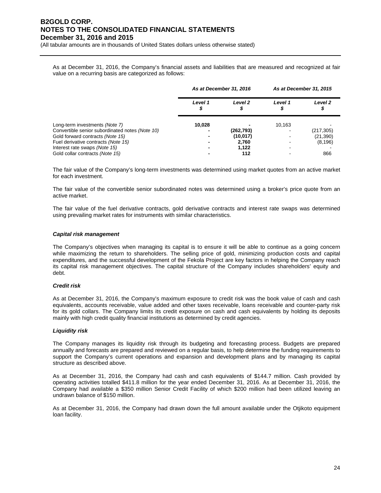(All tabular amounts are in thousands of United States dollars unless otherwise stated)

As at December 31, 2016, the Company's financial assets and liabilities that are measured and recognized at fair value on a recurring basis are categorized as follows:

|                                                 | As at December 31, 2016 |                    | As at December 31, 2015 |                    |  |
|-------------------------------------------------|-------------------------|--------------------|-------------------------|--------------------|--|
|                                                 | Level 1                 | Level <sub>2</sub> | Level 1                 | Level <sub>2</sub> |  |
| Long-term investments (Note 7)                  | 10.028                  |                    | 10,163                  |                    |  |
| Convertible senior subordinated notes (Note 10) |                         | (262,793)          |                         | (217, 305)         |  |
| Gold forward contracts (Note 15)                |                         | (10, 017)          |                         | (21,390)           |  |
| Fuel derivative contracts (Note 15)             |                         | 2.760              |                         | (8, 196)           |  |
| Interest rate swaps (Note 15)                   |                         | 1.122              |                         |                    |  |
| Gold collar contracts (Note 15)                 |                         | 112                |                         | 866                |  |

The fair value of the Company's long-term investments was determined using market quotes from an active market for each investment.

The fair value of the convertible senior subordinated notes was determined using a broker's price quote from an active market.

The fair value of the fuel derivative contracts, gold derivative contracts and interest rate swaps was determined using prevailing market rates for instruments with similar characteristics.

### *Capital risk management*

The Company's objectives when managing its capital is to ensure it will be able to continue as a going concern while maximizing the return to shareholders. The selling price of gold, minimizing production costs and capital expenditures, and the successful development of the Fekola Project are key factors in helping the Company reach its capital risk management objectives. The capital structure of the Company includes shareholders' equity and debt.

### *Credit risk*

As at December 31, 2016, the Company's maximum exposure to credit risk was the book value of cash and cash equivalents, accounts receivable, value added and other taxes receivable, loans receivable and counter-party risk for its gold collars. The Company limits its credit exposure on cash and cash equivalents by holding its deposits mainly with high credit quality financial institutions as determined by credit agencies.

### *Liquidity risk*

The Company manages its liquidity risk through its budgeting and forecasting process. Budgets are prepared annually and forecasts are prepared and reviewed on a regular basis, to help determine the funding requirements to support the Company's current operations and expansion and development plans and by managing its capital structure as described above.

As at December 31, 2016, the Company had cash and cash equivalents of \$144.7 million. Cash provided by operating activities totalled \$411.8 million for the year ended December 31, 2016. As at December 31, 2016, the Company had available a \$350 million Senior Credit Facility of which \$200 million had been utilized leaving an undrawn balance of \$150 million.

As at December 31, 2016, the Company had drawn down the full amount available under the Otjikoto equipment loan facility.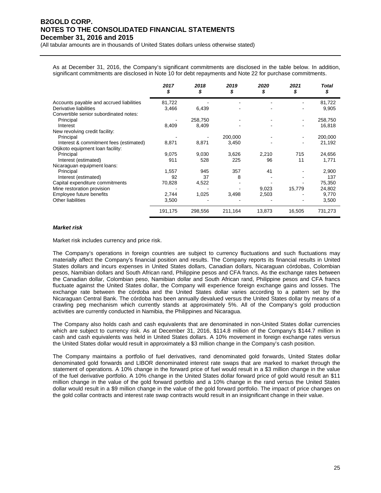(All tabular amounts are in thousands of United States dollars unless otherwise stated)

As at December 31, 2016, the Company's significant commitments are disclosed in the table below. In addition, significant commitments are disclosed in Note 10 for debt repayments and Note 22 for purchase commitments.

|                                          | 2017<br>\$ | 2018    | 2019    | 2020   | 2021   | Total<br>\$ |
|------------------------------------------|------------|---------|---------|--------|--------|-------------|
| Accounts payable and accrued liabilities | 81,722     |         |         |        |        | 81,722      |
| Derivative liabilities                   | 3,466      | 6,439   |         |        |        | 9,905       |
| Convertible senior subordinated notes:   |            |         |         |        |        |             |
| Principal                                |            | 258,750 |         |        |        | 258,750     |
| Interest                                 | 8,409      | 8,409   |         |        |        | 16,818      |
| New revolving credit facility:           |            |         |         |        |        |             |
| Principal                                |            |         | 200,000 |        |        | 200,000     |
| Interest & commitment fees (estimated)   | 8,871      | 8,871   | 3,450   |        |        | 21,192      |
| Otjikoto equipment loan facility:        |            |         |         |        |        |             |
| Principal                                | 9,075      | 9,030   | 3,626   | 2,210  | 715    | 24,656      |
| Interest (estimated)                     | 911        | 528     | 225     | 96     | 11     | 1,771       |
| Nicaraguan equipment loans:              |            |         |         |        |        |             |
| Principal                                | 1,557      | 945     | 357     | 41     |        | 2,900       |
| Interest (estimated)                     | 92         | 37      | 8       |        |        | 137         |
| Capital expenditure commitments          | 70,828     | 4,522   |         |        |        | 75,350      |
| Mine restoration provision               |            |         |         | 9,023  | 15,779 | 24,802      |
| Employee future benefits                 | 2,744      | 1,025   | 3,498   | 2,503  |        | 9,770       |
| <b>Other liabilities</b>                 | 3,500      |         |         |        |        | 3,500       |
|                                          | 191,175    | 298,556 | 211,164 | 13,873 | 16,505 | 731,273     |

### *Market risk*

Market risk includes currency and price risk.

The Company's operations in foreign countries are subject to currency fluctuations and such fluctuations may materially affect the Company's financial position and results. The Company reports its financial results in United States dollars and incurs expenses in United States dollars, Canadian dollars, Nicaraguan córdobas, Colombian pesos, Namibian dollars and South African rand, Philippine pesos and CFA francs. As the exchange rates between the Canadian dollar, Colombian peso, Namibian dollar and South African rand, Philippine pesos and CFA francs fluctuate against the United States dollar, the Company will experience foreign exchange gains and losses. The exchange rate between the córdoba and the United States dollar varies according to a pattern set by the Nicaraguan Central Bank. The córdoba has been annually devalued versus the United States dollar by means of a crawling peg mechanism which currently stands at approximately 5%. All of the Company's gold production activities are currently conducted in Namibia, the Philippines and Nicaragua.

The Company also holds cash and cash equivalents that are denominated in non-United States dollar currencies which are subject to currency risk. As at December 31, 2016, \$114.8 million of the Company's \$144.7 million in cash and cash equivalents was held in United States dollars. A 10% movement in foreign exchange rates versus the United States dollar would result in approximately a \$3 million change in the Company's cash position.

The Company maintains a portfolio of fuel derivatives, rand denominated gold forwards, United States dollar denominated gold forwards and LIBOR denominated interest rate swaps that are marked to market through the statement of operations. A 10% change in the forward price of fuel would result in a \$3 million change in the value of the fuel derivative portfolio. A 10% change in the United States dollar forward price of gold would result an \$11 million change in the value of the gold forward portfolio and a 10% change in the rand versus the United States dollar would result in a \$9 million change in the value of the gold forward portfolio. The impact of price changes on the gold collar contracts and interest rate swap contracts would result in an insignificant change in their value.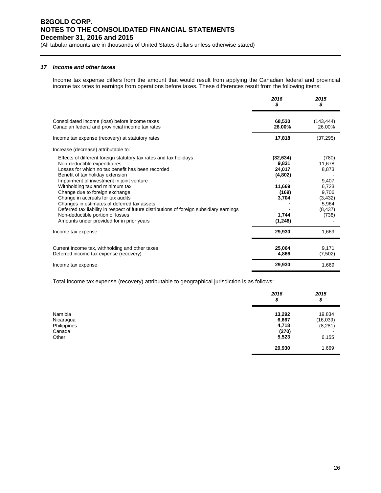(All tabular amounts are in thousands of United States dollars unless otherwise stated)

### *17 Income and other taxes*

Income tax expense differs from the amount that would result from applying the Canadian federal and provincial income tax rates to earnings from operations before taxes. These differences result from the following items:

|                                                                                                                                                                                                                                                                                                                                                                                                                                                                                                                                                                              | 2016<br>5                                                                                | 2015<br>\$                                                                                    |
|------------------------------------------------------------------------------------------------------------------------------------------------------------------------------------------------------------------------------------------------------------------------------------------------------------------------------------------------------------------------------------------------------------------------------------------------------------------------------------------------------------------------------------------------------------------------------|------------------------------------------------------------------------------------------|-----------------------------------------------------------------------------------------------|
| Consolidated income (loss) before income taxes<br>Canadian federal and provincial income tax rates                                                                                                                                                                                                                                                                                                                                                                                                                                                                           | 68,530<br>26.00%                                                                         | (143, 444)<br>26.00%                                                                          |
| Income tax expense (recovery) at statutory rates                                                                                                                                                                                                                                                                                                                                                                                                                                                                                                                             | 17,818                                                                                   | (37, 295)                                                                                     |
| Increase (decrease) attributable to:                                                                                                                                                                                                                                                                                                                                                                                                                                                                                                                                         |                                                                                          |                                                                                               |
| Effects of different foreign statutory tax rates and tax holidays<br>Non-deductible expenditures<br>Losses for which no tax benefit has been recorded<br>Benefit of tax holiday extension<br>Impairment of investment in joint venture<br>Withholding tax and minimum tax<br>Change due to foreign exchange<br>Change in accruals for tax audits<br>Changes in estimates of deferred tax assets<br>Deferred tax liability in respect of future distributions of foreign subsidiary earnings<br>Non-deductible portion of losses<br>Amounts under provided for in prior years | (32, 634)<br>9,831<br>24,017<br>(4,802)<br>11,669<br>(169)<br>3,704<br>1,744<br>(1, 248) | (780)<br>11,678<br>8,873<br>9,407<br>6,723<br>9,706<br>(3, 432)<br>5,964<br>(8, 437)<br>(738) |
| Income tax expense                                                                                                                                                                                                                                                                                                                                                                                                                                                                                                                                                           | 29,930                                                                                   | 1,669                                                                                         |
| Current income tax, withholding and other taxes<br>Deferred income tax expense (recovery)                                                                                                                                                                                                                                                                                                                                                                                                                                                                                    | 25,064<br>4,866                                                                          | 9,171<br>(7,502)                                                                              |
| Income tax expense                                                                                                                                                                                                                                                                                                                                                                                                                                                                                                                                                           | 29,930                                                                                   | 1,669                                                                                         |

Total income tax expense (recovery) attributable to geographical jurisdiction is as follows:

|             | 2016<br>\$ | 2015<br>\$ |
|-------------|------------|------------|
| Namibia     | 13,292     | 19,834     |
| Nicaragua   | 6,667      | (16,039)   |
| Philippines | 4,718      | (8, 281)   |
| Canada      | (270)      |            |
| Other       | 5,523      | 6,155      |
|             | 29,930     | 1,669      |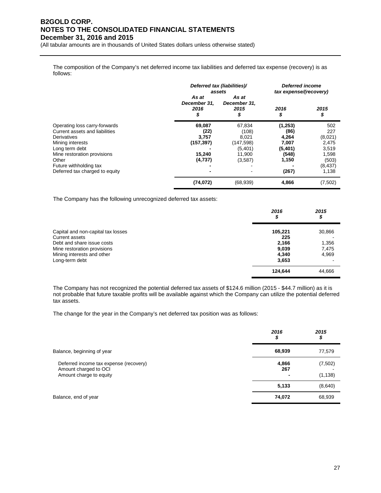(All tabular amounts are in thousands of United States dollars unless otherwise stated)

The composition of the Company's net deferred income tax liabilities and deferred tax expense (recovery) is as follows:

|                                                                                                                                                     |                                                 | Deferred tax (liabilities)/<br>assets                       |                                                       | Deferred income<br>tax expense/(recovery)        |
|-----------------------------------------------------------------------------------------------------------------------------------------------------|-------------------------------------------------|-------------------------------------------------------------|-------------------------------------------------------|--------------------------------------------------|
|                                                                                                                                                     | As at<br>December 31,<br>2016<br>\$             | As at<br>December 31,<br>2015<br>\$                         | 2016<br>\$                                            | 2015<br>\$                                       |
| Operating loss carry-forwards<br>Current assets and liabilities<br>Derivatives<br>Mining interests<br>Long term debt<br>Mine restoration provisions | 69,087<br>(22)<br>3,757<br>(157, 397)<br>15,240 | 67,834<br>(108)<br>8,021<br>(147, 598)<br>(5,401)<br>11,900 | (1,253)<br>(86)<br>4,264<br>7,007<br>(5,401)<br>(548) | 502<br>227<br>(8,021)<br>2,475<br>3,519<br>1,598 |
| Other<br>Future withholding tax<br>Deferred tax charged to equity                                                                                   | (4,737)                                         | (3,587)                                                     | 1,150<br>(267)                                        | (503)<br>(8, 437)<br>1,138                       |
|                                                                                                                                                     | (74, 072)                                       | (68, 939)                                                   | 4,866                                                 | (7, 502)                                         |

The Company has the following unrecognized deferred tax assets:

|                                    | 2016<br>\$ | 2015<br>\$ |
|------------------------------------|------------|------------|
| Capital and non-capital tax losses | 105.221    | 30,866     |
| Current assets                     | 225        |            |
| Debt and share issue costs         | 2,166      | 1,356      |
| Mine restoration provisions        | 9,039      | 7,475      |
| Mining interests and other         | 4,340      | 4,969      |
| Long-term debt                     | 3,653      |            |
|                                    | 124,644    | 44,666     |

The Company has not recognized the potential deferred tax assets of \$124.6 million (2015 - \$44.7 million) as it is not probable that future taxable profits will be available against which the Company can utilize the potential deferred tax assets.

The change for the year in the Company's net deferred tax position was as follows:

|                                                                                            | 2016<br>\$   | 2015<br>\$          |
|--------------------------------------------------------------------------------------------|--------------|---------------------|
| Balance, beginning of year                                                                 | 68,939       | 77,579              |
| Deferred income tax expense (recovery)<br>Amount charged to OCI<br>Amount charge to equity | 4,866<br>267 | (7,502)<br>(1, 138) |
|                                                                                            | 5,133        | (8,640)             |
| Balance, end of year                                                                       | 74,072       | 68,939              |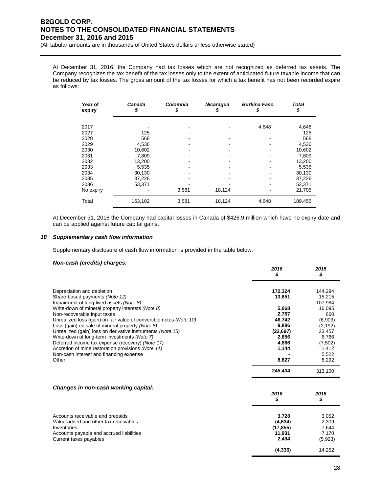(All tabular amounts are in thousands of United States dollars unless otherwise stated)

At December 31, 2016, the Company had tax losses which are not recognized as deferred tax assets. The Company recognizes the tax benefit of the tax losses only to the extent of anticipated future taxable income that can be reduced by tax losses. The gross amount of the tax losses for which a tax benefit has not been recorded expire as follows:

| Year of<br>expiry | Canada<br>\$     | Colombia<br>S | <b>Nicaragua</b><br>\$ | <b>Burkina Faso</b><br>\$ | Total<br>\$      |
|-------------------|------------------|---------------|------------------------|---------------------------|------------------|
| 2017<br>2027      | 125              |               |                        | 4,648                     | 4,648<br>125     |
| 2028<br>2029      | 568<br>4,536     |               |                        |                           | 568<br>4,536     |
| 2030<br>2031      | 10,602<br>7,809  |               |                        |                           | 10,602<br>7,809  |
| 2032<br>2033      | 13,200<br>5.535  |               |                        |                           | 13,200<br>5,535  |
| 2034<br>2035      | 30,130<br>37,226 |               |                        |                           | 30,130<br>37,226 |
| 2036<br>No expiry | 53,371           | 3,581         | 18,124                 |                           | 53,371<br>21,705 |
| Total             | 163,102          | 3,581         | 18,124                 | 4,648                     | 189,455          |

At December 31, 2016 the Company had capital losses in Canada of \$426.9 million which have no expiry date and can be applied against future capital gains.

### *18 Supplementary cash flow information*

Supplementary disclosure of cash flow information is provided in the table below:

### *Non-cash (credits) charges:*

|                                                                                                                                                                                                                                                                           | 2016<br>\$                                     | 2015<br>\$                                     |
|---------------------------------------------------------------------------------------------------------------------------------------------------------------------------------------------------------------------------------------------------------------------------|------------------------------------------------|------------------------------------------------|
| Depreciation and depletion<br>Share-based payments (Note 12)<br>Impairment of long-lived assets (Note 8)                                                                                                                                                                  | 172,324<br>13,651                              | 144,294<br>15,215<br>107.984                   |
| Write-down of mineral property interests (Note 8)<br>Non-recoverable input taxes<br>Unrealized loss (gain) on fair value of convertible notes (Note 10)<br>Loss (gain) on sale of mineral property (Note 8)<br>Unrealized (gain) loss on derivative instruments (Note 15) | 5.068<br>2,767<br>46.742<br>9,886<br>(22, 697) | 16.095<br>660<br>(6,903)<br>(2, 192)<br>23,457 |
| Write-down of long-term investments (Note 7)<br>Deferred income tax expense (recovery) (Note 17)<br>Accretion of mine restoration provisions (Note 11)<br>Non-cash interest and financing expense                                                                         | 2,856<br>4,866<br>1,144                        | 6.766<br>(7,502)<br>1,412<br>5,522             |
| Other                                                                                                                                                                                                                                                                     | 8,827<br>245,434                               | 8,292<br>313.100                               |

### *Changes in non-cash working capital:*

|                                                                           | 2016<br>\$          | 2015<br>\$     |
|---------------------------------------------------------------------------|---------------------|----------------|
| Accounts receivable and prepaids<br>Value-added and other tax receivables | 3.728<br>(4,634)    | 3,052<br>2,309 |
| Inventories<br>Accounts payable and accrued liabilities                   | (17, 855)<br>11.931 | 7,644<br>7.170 |
| Current taxes payables                                                    | 2.494               | (5,923)        |
|                                                                           | (4, 336)            | 14,252         |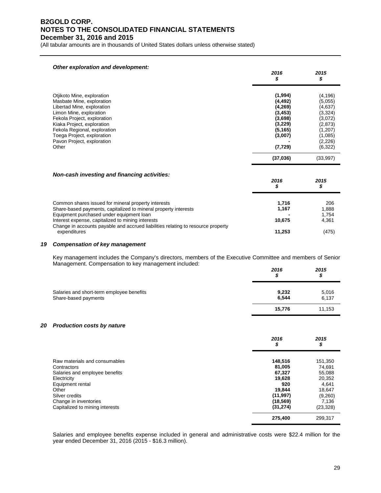(All tabular amounts are in thousands of United States dollars unless otherwise stated)

| Other exploration and development:                                                                                                                                                                                                                                                 | 2016<br>\$                                                                                          | 2015<br>\$                                                                                                  |
|------------------------------------------------------------------------------------------------------------------------------------------------------------------------------------------------------------------------------------------------------------------------------------|-----------------------------------------------------------------------------------------------------|-------------------------------------------------------------------------------------------------------------|
| Otjikoto Mine, exploration<br>Masbate Mine, exploration<br>Libertad Mine, exploration<br>Limon Mine, exploration<br>Fekola Project, exploration<br>Kiaka Project, exploration<br>Fekola Regional, exploration<br>Toega Project, exploration<br>Pavon Project, exploration<br>Other | (1,994)<br>(4, 492)<br>(4,269)<br>(3, 453)<br>(3,698)<br>(3,229)<br>(5, 165)<br>(3,007)<br>(7, 729) | (4, 196)<br>(5,055)<br>(4,637)<br>(3,324)<br>(3,072)<br>(2,873)<br>(1,207)<br>(1,085)<br>(2,226)<br>(6,322) |
|                                                                                                                                                                                                                                                                                    | (37,036)                                                                                            | (33,997)                                                                                                    |
| Non-cash investing and financing activities:                                                                                                                                                                                                                                       | 2016<br>\$                                                                                          | 2015<br>\$                                                                                                  |
| Common shares issued for mineral property interests<br>Share-based payments, capitalized to mineral property interests<br>Equipment purchased under equipment loan<br>Interest expense, capitalized to mining interests                                                            | 1,716<br>1,167<br>10,675                                                                            | 206<br>1,888<br>1,754<br>4,361                                                                              |
| Change in accounts payable and accrued liabilities relating to resource property<br>expenditures                                                                                                                                                                                   | 11,253                                                                                              | (475)                                                                                                       |

### *19 Compensation of key management*

Key management includes the Company's directors, members of the Executive Committee and members of Senior Management. Compensation to key management included:

|                                                                   | 2016<br>S      | 2015<br>\$     |
|-------------------------------------------------------------------|----------------|----------------|
| Salaries and short-term employee benefits<br>Share-based payments | 9,232<br>6,544 | 5,016<br>6,137 |
|                                                                   | 15,776         | 11,153         |

### *20 Production costs by nature*

|                                 | 2016<br>\$ | 2015<br>\$ |
|---------------------------------|------------|------------|
| Raw materials and consumables   | 148,516    | 151,350    |
| Contractors                     | 81,005     | 74,691     |
| Salaries and employee benefits  | 67,327     | 55,088     |
| Electricity                     | 19,628     | 20,352     |
| Equipment rental                | 920        | 4.641      |
| Other                           | 19.844     | 18,647     |
| Silver credits                  | (11, 997)  | (9,260)    |
| Change in inventories           | (18, 569)  | 7,136      |
| Capitalized to mining interests | (31, 274)  | (23, 328)  |
|                                 | 275,400    | 299.317    |

Salaries and employee benefits expense included in general and administrative costs were \$22.4 million for the year ended December 31, 2016 (2015 - \$16.3 million).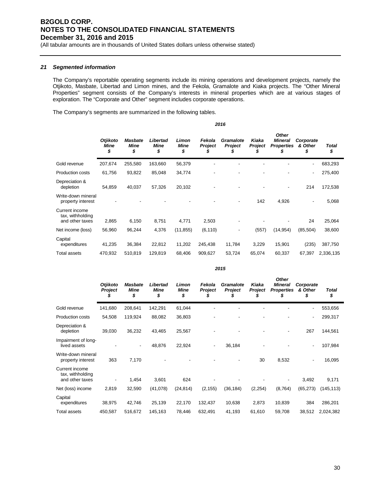(All tabular amounts are in thousands of United States dollars unless otherwise stated)

### *21 Segmented information*

The Company's reportable operating segments include its mining operations and development projects, namely the Otjikoto, Masbate, Libertad and Limon mines, and the Fekola, Gramalote and Kiaka projects. The "Other Mineral Properties" segment consists of the Company's interests in mineral properties which are at various stages of exploration. The "Corporate and Other" segment includes corporate operations.

The Company's segments are summarized in the following tables.

|                                                       | 2016                   |                                     |                               |                            |                   |                                    |                         |                                                           |                            |                    |
|-------------------------------------------------------|------------------------|-------------------------------------|-------------------------------|----------------------------|-------------------|------------------------------------|-------------------------|-----------------------------------------------------------|----------------------------|--------------------|
|                                                       | Otjikoto<br>Mine<br>\$ | <b>Masbate</b><br><b>Mine</b><br>\$ | Libertad<br><b>Mine</b><br>\$ | Limon<br><b>Mine</b><br>\$ | Fekola<br>Project | <b>Gramalote</b><br><b>Project</b> | Kiaka<br><b>Project</b> | <b>Other</b><br><b>Mineral</b><br><b>Properties</b><br>\$ | Corporate<br>& Other<br>\$ | <b>Total</b><br>\$ |
| Gold revenue                                          | 207,674                | 255,580                             | 163,660                       | 56,379                     |                   |                                    |                         |                                                           | ۰                          | 683,293            |
| <b>Production costs</b>                               | 61,756                 | 93,822                              | 85,048                        | 34,774                     |                   |                                    |                         |                                                           | ۰                          | 275,400            |
| Depreciation &<br>depletion                           | 54,859                 | 40,037                              | 57,326                        | 20,102                     |                   |                                    |                         |                                                           | 214                        | 172,538            |
| Write-down mineral<br>property interest               |                        |                                     |                               |                            |                   |                                    | 142                     | 4,926                                                     |                            | 5,068              |
| Current income<br>tax, withholding<br>and other taxes | 2,865                  | 6,150                               | 8,751                         | 4,771                      | 2,503             |                                    |                         |                                                           | 24                         | 25,064             |
| Net income (loss)                                     | 56,960                 | 96,244                              | 4,376                         | (11, 855)                  | (6, 110)          |                                    | (557)                   | (14, 954)                                                 | (85, 504)                  | 38,600             |
| Capital<br>expenditures                               | 41,235                 | 36,384                              | 22,812                        | 11,202                     | 245,438           | 11,784                             | 3,229                   | 15,901                                                    | (235)                      | 387,750            |
| <b>Total assets</b>                                   | 470,932                | 510,819                             | 129,819                       | 68,406                     | 909,627           | 53,724                             | 65,074                  | 60,337                                                    | 67,397                     | 2,336,135          |

|                                                       | <b>Otjikoto</b><br>Project<br>y, | <b>Masbate</b><br><b>Mine</b><br>\$ | Libertad<br><b>Mine</b><br>\$ | Limon<br><b>Mine</b><br>\$ | Fekola<br>Project        | <b>Gramalote</b><br><b>Project</b> | Kiaka<br><b>Project</b> | <b>Other</b><br><b>Mineral</b><br><b>Properties</b><br>S | Corporate<br>& Other<br>\$ | <b>Total</b><br>\$ |
|-------------------------------------------------------|----------------------------------|-------------------------------------|-------------------------------|----------------------------|--------------------------|------------------------------------|-------------------------|----------------------------------------------------------|----------------------------|--------------------|
| Gold revenue                                          | 141,680                          | 208,641                             | 142,291                       | 61,044                     |                          |                                    |                         |                                                          | ٠                          | 553,656            |
| <b>Production costs</b>                               | 54,508                           | 119,924                             | 88,082                        | 36,803                     |                          |                                    |                         |                                                          | $\overline{\phantom{0}}$   | 299,317            |
| Depreciation &<br>depletion                           | 39,030                           | 36,232                              | 43,465                        | 25,567                     |                          |                                    |                         |                                                          | 267                        | 144,561            |
| Impairment of long-<br>lived assets                   |                                  | ۰                                   | 48,876                        | 22,924                     | $\overline{\phantom{a}}$ | 36,184                             |                         |                                                          | ٠                          | 107,984            |
| Write-down mineral<br>property interest               | 363                              | 7,170                               |                               |                            |                          |                                    | 30                      | 8,532                                                    |                            | 16,095             |
| Current income<br>tax, withholding<br>and other taxes | -                                | 1,454                               | 3,601                         | 624                        |                          |                                    |                         |                                                          | 3,492                      | 9,171              |
| Net (loss) income                                     | 2,819                            | 32,590                              | (41,078)                      | (24, 814)                  | (2, 155)                 | (36, 184)                          | (2, 254)                | (8, 764)                                                 | (65, 273)                  | (145, 113)         |
| Capital<br>expenditures                               | 38,975                           | 42,746                              | 25,139                        | 22,170                     | 132,437                  | 10,638                             | 2,873                   | 10,839                                                   | 384                        | 286,201            |
| Total assets                                          | 450,587                          | 516,672                             | 145,163                       | 78,446                     | 632,491                  | 41,193                             | 61,610                  | 59,708                                                   | 38,512                     | 2,024,382          |

*2015*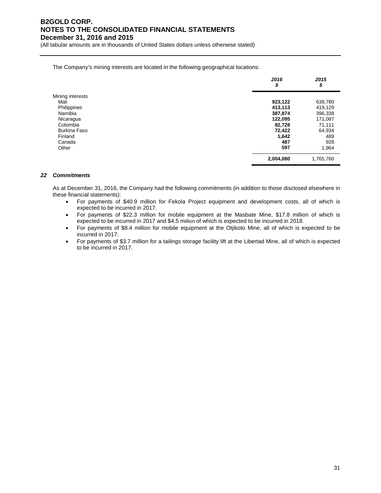(All tabular amounts are in thousands of United States dollars unless otherwise stated)

The Company's mining interests are located in the following geographical locations:

|                     | 2016<br>\$ | 2015<br>\$ |
|---------------------|------------|------------|
| Mining interests    |            |            |
| Mali                | 923,122    | 639,780    |
| Philippines         | 413,113    | 419,129    |
| Namibia             | 387,874    | 396,338    |
| Nicaragua           | 122,095    | 171,087    |
| Colombia            | 82,728     | 71,111     |
| <b>Burkina Faso</b> | 72,422     | 64,934     |
| Finland             | 1,642      | 489        |
| Canada              | 487        | 928        |
| Other               | 597        | 1,964      |
|                     | 2,004,080  | 1,765,760  |

### *22 Commitments*

As at December 31, 2016, the Company had the following commitments (in addition to those disclosed elsewhere in these financial statements):

- For payments of \$40.9 million for Fekola Project equipment and development costs, all of which is expected to be incurred in 2017.
- For payments of \$22.3 million for mobile equipment at the Masbate Mine, \$17.8 million of which is expected to be incurred in 2017 and \$4.5 million of which is expected to be incurred in 2018.
- For payments of \$8.4 million for mobile equipment at the Otjikoto Mine, all of which is expected to be incurred in 2017.
- For payments of \$3.7 million for a tailings storage facility lift at the Libertad Mine, all of which is expected to be incurred in 2017.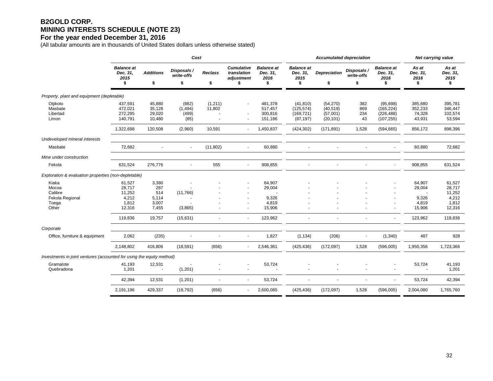## **B2GOLD CORP. MINING INTERESTS SCHEDULE (NOTE 23)**

### **For the year ended December 31, 2016**

(All tabular amounts are in thousands of United States dollars unless otherwise stated)

|                                                                       | Cost                                                   |                                                |                                    |                      |                                                      |                                              |                                                    | <b>Accumulated depreciation</b>                 | Net carrying value              |                                                     |                                              |                                                        |
|-----------------------------------------------------------------------|--------------------------------------------------------|------------------------------------------------|------------------------------------|----------------------|------------------------------------------------------|----------------------------------------------|----------------------------------------------------|-------------------------------------------------|---------------------------------|-----------------------------------------------------|----------------------------------------------|--------------------------------------------------------|
|                                                                       | <b>Balance</b> at<br>Dec. 31,<br>2015<br>\$            | <b>Additions</b><br>\$                         | Disposals /<br>write-offs<br>\$    | <b>Reclass</b><br>\$ | <b>Cumulative</b><br>translation<br>adjustment<br>\$ | <b>Balance</b> at<br>Dec. 31,<br>2016<br>\$  | <b>Balance</b> at<br>Dec. 31,<br>2015<br>\$        | <b>Depreciation</b><br>\$                       | Disposals /<br>write-offs<br>\$ | <b>Balance</b> at<br>Dec. 31,<br>2016<br>\$         | As at<br>Dec. 31,<br>2016<br>\$              | As at<br>Dec. 31,<br>2015<br>\$                        |
| Property, plant and equipment (depletable)                            |                                                        |                                                |                                    |                      |                                                      |                                              |                                                    |                                                 |                                 |                                                     |                                              |                                                        |
| Otjikoto<br>Masbate<br>Libertad<br>Limon                              | 437,591<br>472,021<br>272,295<br>140,791               | 45,880<br>35,128<br>29,020<br>10,480           | (882)<br>(1, 494)<br>(499)<br>(85) | (1, 211)<br>11,802   |                                                      | 481,378<br>517,457<br>300,816<br>151,186     | (41, 810)<br>(125, 574)<br>(169, 721)<br>(87, 197) | (54, 270)<br>(40, 519)<br>(57,001)<br>(20, 101) | 382<br>869<br>234<br>43         | (95, 698)<br>(165, 224)<br>(226, 488)<br>(107, 255) | 385,680<br>352,233<br>74,328<br>43,931       | 395,781<br>346,447<br>102,574<br>53,594                |
|                                                                       | 1,322,698                                              | 120,508                                        | (2,960)                            | 10,591               | $\overline{\phantom{a}}$                             | 1,450,837                                    | (424, 302)                                         | (171, 891)                                      | 1,528                           | (594, 665)                                          | 856,172                                      | 898,396                                                |
| Undeveloped mineral interests                                         |                                                        |                                                |                                    |                      |                                                      |                                              |                                                    |                                                 |                                 |                                                     |                                              |                                                        |
| Masbate                                                               | 72,682                                                 | $\blacksquare$                                 | $\sim$                             | (11, 802)            |                                                      | 60,880                                       |                                                    |                                                 | $\ddot{\phantom{1}}$            |                                                     | 60,880                                       | 72,682                                                 |
| Mine under construction                                               |                                                        |                                                |                                    |                      |                                                      |                                              |                                                    |                                                 |                                 |                                                     |                                              |                                                        |
| Fekola                                                                | 631,524                                                | 276,776                                        | $\sim$                             | 555                  | $\blacksquare$                                       | 908,855                                      |                                                    |                                                 | $\overline{\phantom{a}}$        | $\blacksquare$                                      | 908,855                                      | 631,524                                                |
| Exploration & evaluation properties (non-depletable)                  |                                                        |                                                |                                    |                      |                                                      |                                              |                                                    |                                                 |                                 |                                                     |                                              |                                                        |
| Kiaka<br>Mocoa<br>Calibre<br>Fekola Regional<br>Toega<br>Other        | 61,527<br>28,717<br>11,252<br>4,212<br>1,812<br>12,316 | 3,380<br>287<br>514<br>5,114<br>3,007<br>7,455 | (11,766)<br>(3,865)                |                      |                                                      | 64,907<br>29,004<br>9,326<br>4,819<br>15,906 |                                                    |                                                 |                                 | $\blacksquare$<br>$\blacksquare$<br>$\blacksquare$  | 64,907<br>29,004<br>9,326<br>4,819<br>15,906 | 61,527<br>28,717<br>11,252<br>4,212<br>1,812<br>12,316 |
|                                                                       | 119,836                                                | 19,757                                         | (15,631)                           |                      | ÷.                                                   | 123,962                                      |                                                    |                                                 | ÷.                              | ä,                                                  | 123,962                                      | 119,836                                                |
| Corporate                                                             |                                                        |                                                |                                    |                      |                                                      |                                              |                                                    |                                                 |                                 |                                                     |                                              |                                                        |
| Office, furniture & equipment                                         | 2,062                                                  | (235)                                          | $\overline{\phantom{a}}$           |                      | $\blacksquare$                                       | 1,827                                        | (1, 134)                                           | (206)                                           | $\blacksquare$                  | (1,340)                                             | 487                                          | 928                                                    |
|                                                                       | 2,148,802                                              | 416,806                                        | (18, 591)                          | (656)                |                                                      | 2,546,361                                    | (425, 436)                                         | (172, 097)                                      | 1,528                           | (596,005)                                           | 1,950,356                                    | 1,723,366                                              |
| Investments in joint ventures (accounted for using the equity method) |                                                        |                                                |                                    |                      |                                                      |                                              |                                                    |                                                 |                                 |                                                     |                                              |                                                        |
| Gramalote<br>Quebradona                                               | 41,193<br>1,201                                        | 12,531<br>÷,                                   | (1,201)                            |                      |                                                      | 53,724                                       |                                                    |                                                 |                                 |                                                     | 53,724                                       | 41,193<br>1,201                                        |
|                                                                       | 42,394                                                 | 12,531                                         | (1,201)                            |                      |                                                      | 53,724                                       |                                                    |                                                 |                                 | $\blacksquare$                                      | 53,724                                       | 42,394                                                 |
|                                                                       | 2,191,196                                              | 429,337                                        | (19, 792)                          | (656)                | $\blacksquare$                                       | 2,600,085                                    | (425, 436)                                         | (172, 097)                                      | 1,528                           | (596,005)                                           | 2,004,080                                    | 1,765,760                                              |